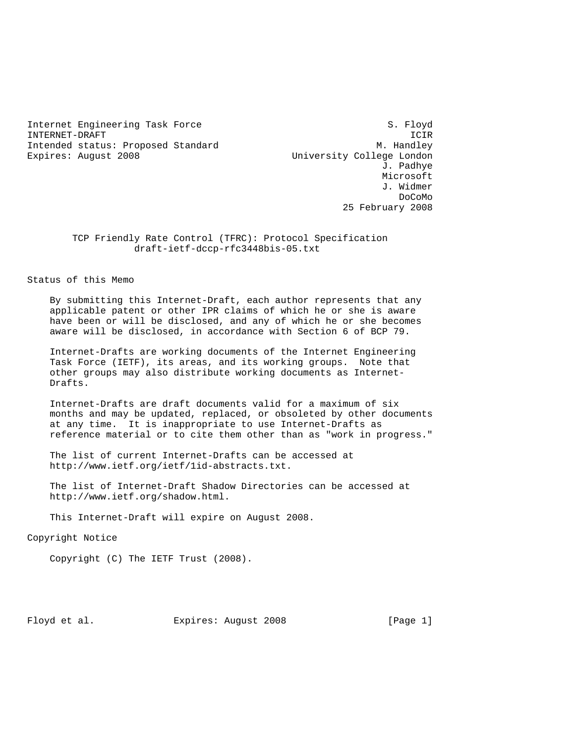Internet Engineering Task Force S. Floyd INTERNET-DRAFT ICIR Intended status: Proposed Standard M. Handley Expires: August 2008 University College London

 J. Padhye Microsoft J. Widmer de la contradición de la contradición de la contradición de la contradición de la contradición de la contradición de la contradición de la contradición de la contradición de la contradición de la contradición de la contrad 25 February 2008

> TCP Friendly Rate Control (TFRC): Protocol Specification draft-ietf-dccp-rfc3448bis-05.txt

Status of this Memo

 By submitting this Internet-Draft, each author represents that any applicable patent or other IPR claims of which he or she is aware have been or will be disclosed, and any of which he or she becomes aware will be disclosed, in accordance with Section 6 of BCP 79.

 Internet-Drafts are working documents of the Internet Engineering Task Force (IETF), its areas, and its working groups. Note that other groups may also distribute working documents as Internet- Drafts.

 Internet-Drafts are draft documents valid for a maximum of six months and may be updated, replaced, or obsoleted by other documents at any time. It is inappropriate to use Internet-Drafts as reference material or to cite them other than as "work in progress."

 The list of current Internet-Drafts can be accessed at http://www.ietf.org/ietf/1id-abstracts.txt.

 The list of Internet-Draft Shadow Directories can be accessed at http://www.ietf.org/shadow.html.

This Internet-Draft will expire on August 2008.

Copyright Notice

Copyright (C) The IETF Trust (2008).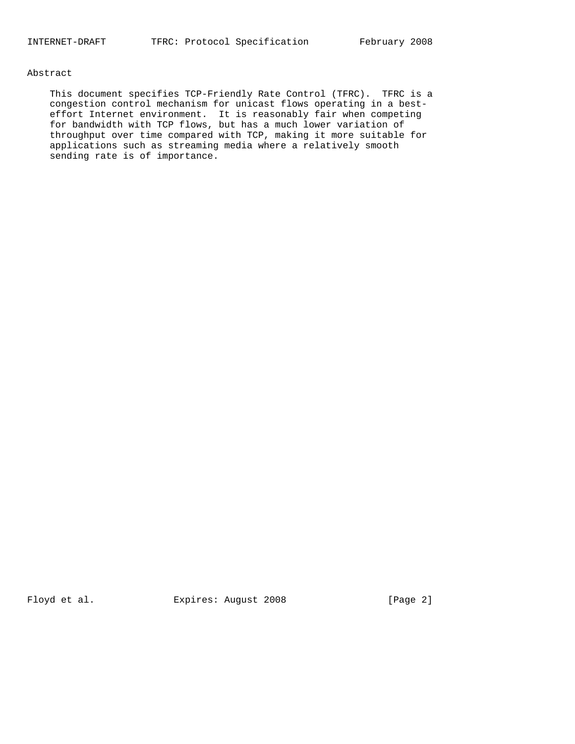## Abstract

 This document specifies TCP-Friendly Rate Control (TFRC). TFRC is a congestion control mechanism for unicast flows operating in a best effort Internet environment. It is reasonably fair when competing for bandwidth with TCP flows, but has a much lower variation of throughput over time compared with TCP, making it more suitable for applications such as streaming media where a relatively smooth sending rate is of importance.

Floyd et al. Expires: August 2008 [Page 2]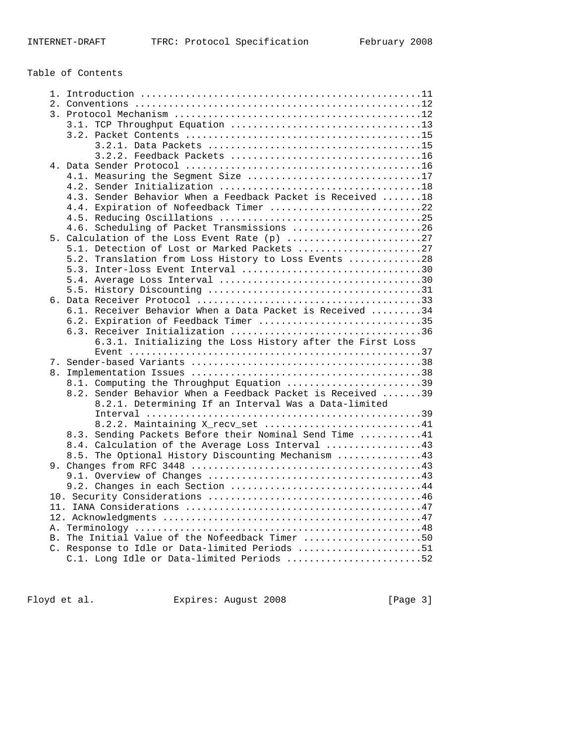# Table of Contents

| 4.1. Measuring the Seqment Size 17                          |
|-------------------------------------------------------------|
|                                                             |
| 4.3. Sender Behavior When a Feedback Packet is Received  18 |
| 4.4. Expiration of Nofeedback Timer 22                      |
|                                                             |
| 4.6. Scheduling of Packet Transmissions 26                  |
|                                                             |
| 5.1. Detection of Lost or Marked Packets 27                 |
| 5.2. Translation from Loss History to Loss Events 28        |
| 5.3. Inter-loss Event Interval 30                           |
|                                                             |
|                                                             |
|                                                             |
| 6.1. Receiver Behavior When a Data Packet is Received 34    |
| 6.2. Expiration of Feedback Timer 35                        |
|                                                             |
| 6.3.1. Initializing the Loss History after the First Loss   |
|                                                             |
|                                                             |
|                                                             |
| 8.1. Computing the Throughput Equation 39                   |
| 8.2. Sender Behavior When a Feedback Packet is Received 39  |
| 8.2.1. Determining If an Interval Was a Data-limited        |
|                                                             |
| 8.2.2. Maintaining X_recv_set 41                            |
| 8.3. Sending Packets Before their Nominal Send Time 41      |
| 8.4. Calculation of the Average Loss Interval 43            |
| 8.5. The Optional History Discounting Mechanism 43          |
|                                                             |
|                                                             |
| 9.2. Changes in each Section 44                             |
|                                                             |
|                                                             |
|                                                             |
|                                                             |
| B. The Initial Value of the Nofeedback Timer 50             |
| C. Response to Idle or Data-limited Periods 51              |
| C.1. Long Idle or Data-limited Periods 52                   |
|                                                             |

Floyd et al. Expires: August 2008 [Page 3]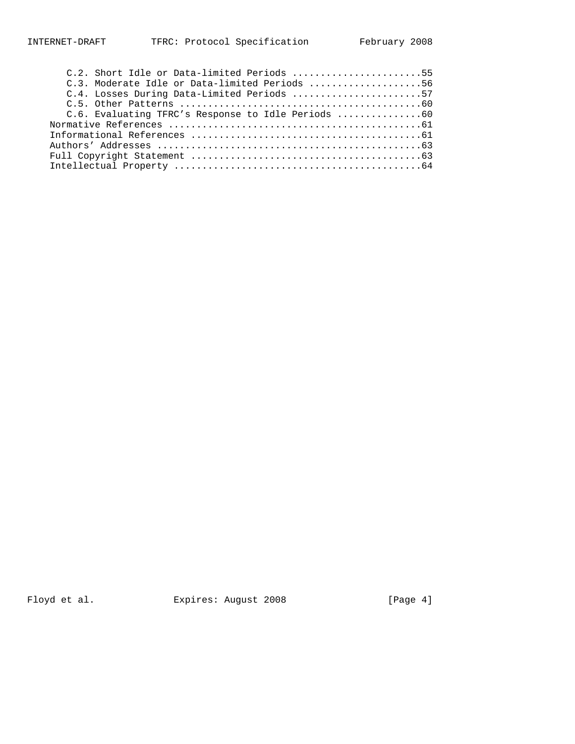| C.2. Short Idle or Data-limited Periods 55         |
|----------------------------------------------------|
| C.3. Moderate Idle or Data-limited Periods 56      |
| C.4. Losses During Data-Limited Periods 57         |
|                                                    |
| C.6. Evaluating TFRC's Response to Idle Periods 60 |
|                                                    |
|                                                    |
|                                                    |
|                                                    |
|                                                    |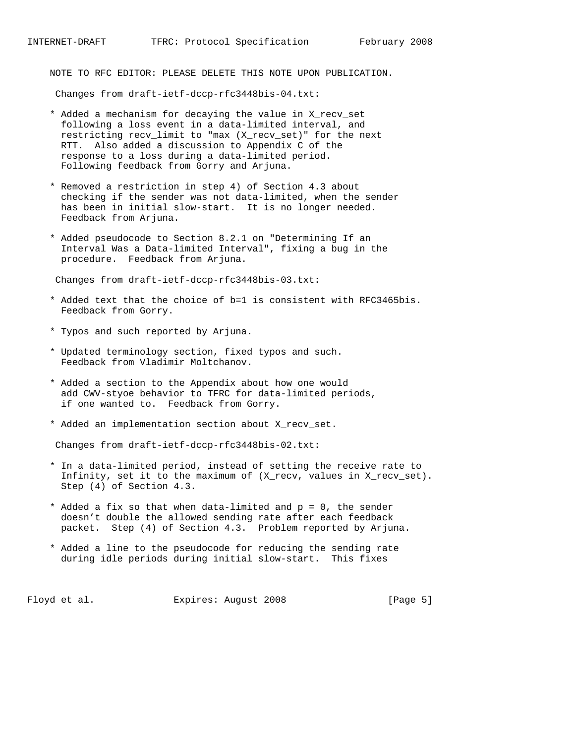NOTE TO RFC EDITOR: PLEASE DELETE THIS NOTE UPON PUBLICATION.

Changes from draft-ietf-dccp-rfc3448bis-04.txt:

- \* Added a mechanism for decaying the value in X\_recv\_set following a loss event in a data-limited interval, and restricting recv\_limit to "max (X\_recv\_set)" for the next RTT. Also added a discussion to Appendix C of the response to a loss during a data-limited period. Following feedback from Gorry and Arjuna.
- \* Removed a restriction in step 4) of Section 4.3 about checking if the sender was not data-limited, when the sender has been in initial slow-start. It is no longer needed. Feedback from Arjuna.
- \* Added pseudocode to Section 8.2.1 on "Determining If an Interval Was a Data-limited Interval", fixing a bug in the procedure. Feedback from Arjuna.

Changes from draft-ietf-dccp-rfc3448bis-03.txt:

- \* Added text that the choice of b=1 is consistent with RFC3465bis. Feedback from Gorry.
- \* Typos and such reported by Arjuna.
- \* Updated terminology section, fixed typos and such. Feedback from Vladimir Moltchanov.
- \* Added a section to the Appendix about how one would add CWV-styoe behavior to TFRC for data-limited periods, if one wanted to. Feedback from Gorry.
- \* Added an implementation section about X\_recv\_set.

Changes from draft-ietf-dccp-rfc3448bis-02.txt:

- \* In a data-limited period, instead of setting the receive rate to Infinity, set it to the maximum of (X\_recv, values in X\_recv\_set). Step (4) of Section 4.3.
- \* Added a fix so that when data-limited and p = 0, the sender doesn't double the allowed sending rate after each feedback packet. Step (4) of Section 4.3. Problem reported by Arjuna.
- \* Added a line to the pseudocode for reducing the sending rate during idle periods during initial slow-start. This fixes

Floyd et al. Expires: August 2008 [Page 5]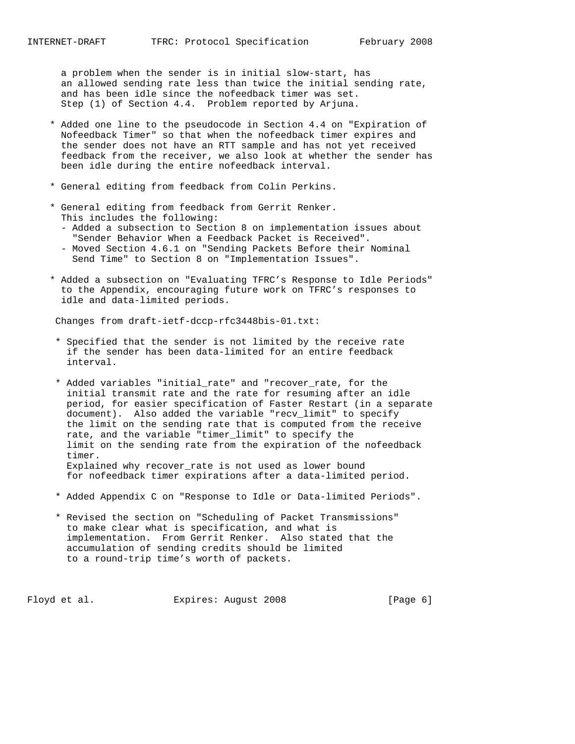a problem when the sender is in initial slow-start, has an allowed sending rate less than twice the initial sending rate, and has been idle since the nofeedback timer was set. Step (1) of Section 4.4. Problem reported by Arjuna.

- \* Added one line to the pseudocode in Section 4.4 on "Expiration of Nofeedback Timer" so that when the nofeedback timer expires and the sender does not have an RTT sample and has not yet received feedback from the receiver, we also look at whether the sender has been idle during the entire nofeedback interval.
- \* General editing from feedback from Colin Perkins.
- \* General editing from feedback from Gerrit Renker. This includes the following:
	- Added a subsection to Section 8 on implementation issues about "Sender Behavior When a Feedback Packet is Received". - Moved Section 4.6.1 on "Sending Packets Before their Nominal
	- Send Time" to Section 8 on "Implementation Issues".
- \* Added a subsection on "Evaluating TFRC's Response to Idle Periods" to the Appendix, encouraging future work on TFRC's responses to idle and data-limited periods.

Changes from draft-ietf-dccp-rfc3448bis-01.txt:

- \* Specified that the sender is not limited by the receive rate if the sender has been data-limited for an entire feedback interval.
- \* Added variables "initial\_rate" and "recover\_rate, for the initial transmit rate and the rate for resuming after an idle period, for easier specification of Faster Restart (in a separate document). Also added the variable "recv\_limit" to specify the limit on the sending rate that is computed from the receive rate, and the variable "timer\_limit" to specify the limit on the sending rate from the expiration of the nofeedback timer. Explained why recover\_rate is not used as lower bound for nofeedback timer expirations after a data-limited period.
- \* Added Appendix C on "Response to Idle or Data-limited Periods".
- \* Revised the section on "Scheduling of Packet Transmissions" to make clear what is specification, and what is implementation. From Gerrit Renker. Also stated that the accumulation of sending credits should be limited to a round-trip time's worth of packets.

Floyd et al. Expires: August 2008 [Page 6]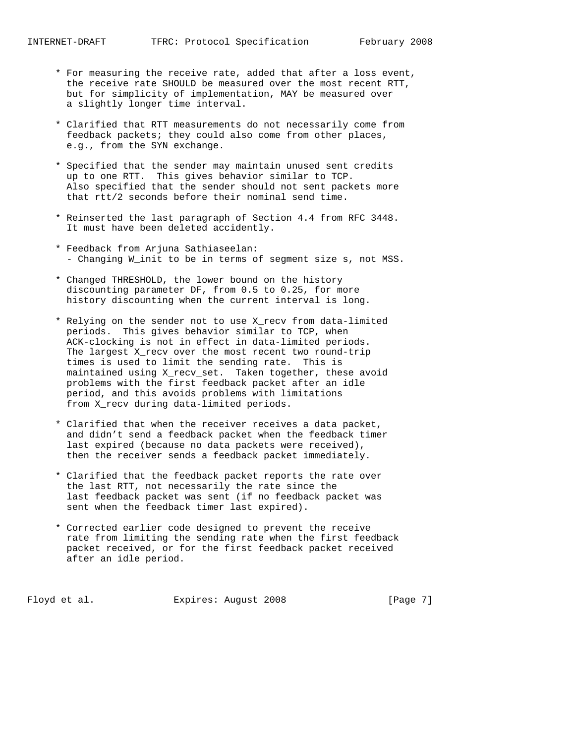- \* For measuring the receive rate, added that after a loss event, the receive rate SHOULD be measured over the most recent RTT, but for simplicity of implementation, MAY be measured over a slightly longer time interval.
- \* Clarified that RTT measurements do not necessarily come from feedback packets; they could also come from other places, e.g., from the SYN exchange.
- \* Specified that the sender may maintain unused sent credits up to one RTT. This gives behavior similar to TCP. Also specified that the sender should not sent packets more that rtt/2 seconds before their nominal send time.
- \* Reinserted the last paragraph of Section 4.4 from RFC 3448. It must have been deleted accidently.
- \* Feedback from Arjuna Sathiaseelan: - Changing W\_init to be in terms of segment size s, not MSS.
- \* Changed THRESHOLD, the lower bound on the history discounting parameter DF, from 0.5 to 0.25, for more history discounting when the current interval is long.
- \* Relying on the sender not to use X\_recv from data-limited periods. This gives behavior similar to TCP, when ACK-clocking is not in effect in data-limited periods. The largest X\_recv over the most recent two round-trip times is used to limit the sending rate. This is maintained using X\_recv\_set. Taken together, these avoid problems with the first feedback packet after an idle period, and this avoids problems with limitations from X\_recv during data-limited periods.
- \* Clarified that when the receiver receives a data packet, and didn't send a feedback packet when the feedback timer last expired (because no data packets were received), then the receiver sends a feedback packet immediately.
- \* Clarified that the feedback packet reports the rate over the last RTT, not necessarily the rate since the last feedback packet was sent (if no feedback packet was sent when the feedback timer last expired).
- \* Corrected earlier code designed to prevent the receive rate from limiting the sending rate when the first feedback packet received, or for the first feedback packet received after an idle period.

Floyd et al. Expires: August 2008 [Page 7]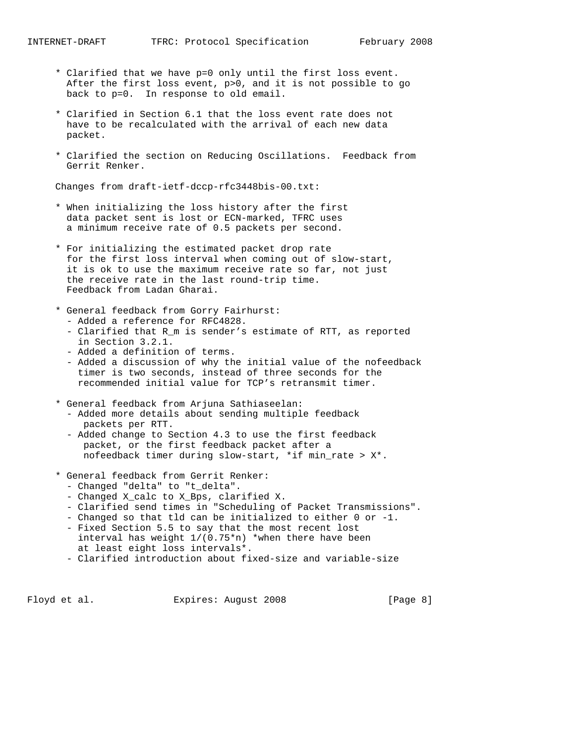- \* Clarified that we have p=0 only until the first loss event. After the first loss event, p>0, and it is not possible to go back to p=0. In response to old email.
- \* Clarified in Section 6.1 that the loss event rate does not have to be recalculated with the arrival of each new data packet.
- \* Clarified the section on Reducing Oscillations. Feedback from Gerrit Renker.

Changes from draft-ietf-dccp-rfc3448bis-00.txt:

- \* When initializing the loss history after the first data packet sent is lost or ECN-marked, TFRC uses a minimum receive rate of 0.5 packets per second.
- \* For initializing the estimated packet drop rate for the first loss interval when coming out of slow-start, it is ok to use the maximum receive rate so far, not just the receive rate in the last round-trip time. Feedback from Ladan Gharai.
- \* General feedback from Gorry Fairhurst: - Added a reference for RFC4828.
	- Clarified that R\_m is sender's estimate of RTT, as reported in Section 3.2.1.
	- Added a definition of terms.
	- Added a discussion of why the initial value of the nofeedback timer is two seconds, instead of three seconds for the recommended initial value for TCP's retransmit timer.
- \* General feedback from Arjuna Sathiaseelan: - Added more details about sending multiple feedback
	- packets per RTT. - Added change to Section 4.3 to use the first feedback
	- packet, or the first feedback packet after a nofeedback timer during slow-start, \*if min\_rate > X\*.
- \* General feedback from Gerrit Renker:
	- Changed "delta" to "t\_delta".
	- Changed X\_calc to X\_Bps, clarified X.
	- Clarified send times in "Scheduling of Packet Transmissions".
	- Changed so that tld can be initialized to either 0 or -1.
	- Fixed Section 5.5 to say that the most recent lost interval has weight 1/(0.75\*n) \*when there have been at least eight loss intervals\*.
	- Clarified introduction about fixed-size and variable-size

Floyd et al. Expires: August 2008 [Page 8]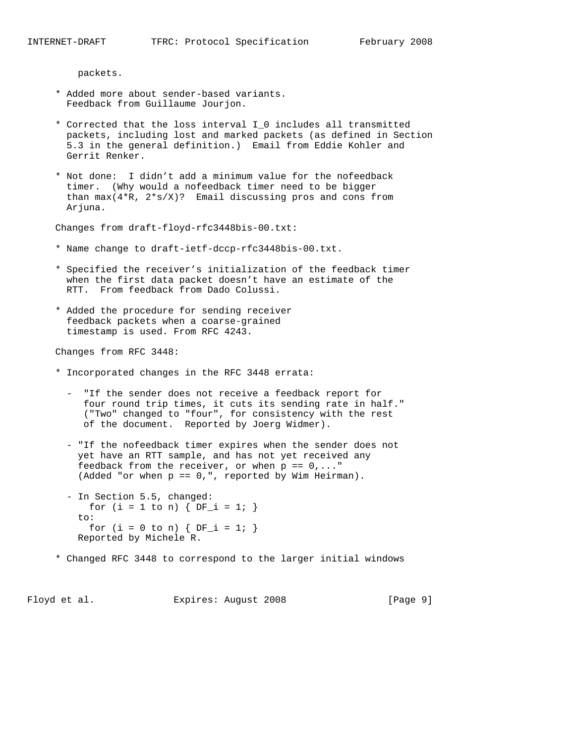packets.

- \* Added more about sender-based variants. Feedback from Guillaume Jourjon.
- \* Corrected that the loss interval I\_0 includes all transmitted packets, including lost and marked packets (as defined in Section 5.3 in the general definition.) Email from Eddie Kohler and Gerrit Renker.
- \* Not done: I didn't add a minimum value for the nofeedback timer. (Why would a nofeedback timer need to be bigger than  $max(4*R, 2*s/X)$ ? Email discussing pros and cons from Arjuna.

Changes from draft-floyd-rfc3448bis-00.txt:

- \* Name change to draft-ietf-dccp-rfc3448bis-00.txt.
- \* Specified the receiver's initialization of the feedback timer when the first data packet doesn't have an estimate of the RTT. From feedback from Dado Colussi.
- \* Added the procedure for sending receiver feedback packets when a coarse-grained timestamp is used. From RFC 4243.

Changes from RFC 3448:

- \* Incorporated changes in the RFC 3448 errata:
	- "If the sender does not receive a feedback report for four round trip times, it cuts its sending rate in half." ("Two" changed to "four", for consistency with the rest of the document. Reported by Joerg Widmer).
	- "If the nofeedback timer expires when the sender does not yet have an RTT sample, and has not yet received any feedback from the receiver, or when  $p == 0, ...$ (Added "or when p == 0,", reported by Wim Heirman).
	- In Section 5.5, changed: for (i = 1 to n) {  $DF_i = 1$ ; } to: for  $(i = 0 \text{ to } n)$  {  $DF_i = 1;$  } Reported by Michele R.
- \* Changed RFC 3448 to correspond to the larger initial windows

Floyd et al. Expires: August 2008 [Page 9]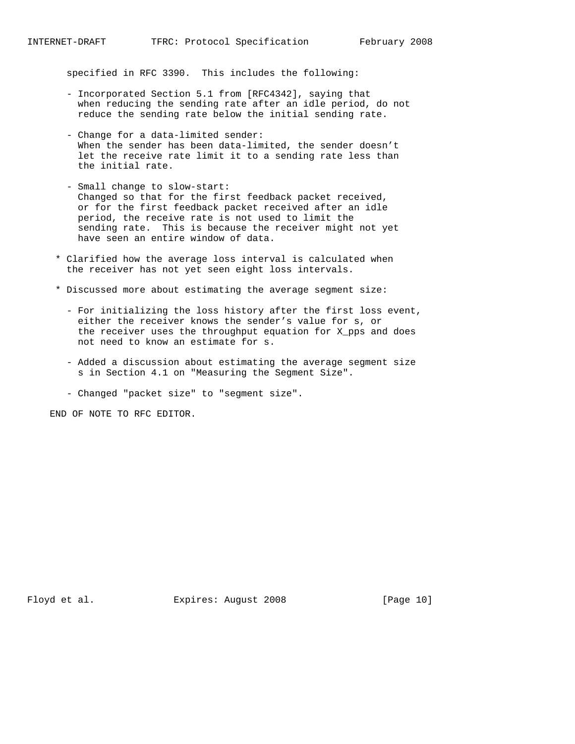specified in RFC 3390. This includes the following:

- Incorporated Section 5.1 from [RFC4342], saying that when reducing the sending rate after an idle period, do not reduce the sending rate below the initial sending rate.
- Change for a data-limited sender: When the sender has been data-limited, the sender doesn't let the receive rate limit it to a sending rate less than the initial rate.
- Small change to slow-start: Changed so that for the first feedback packet received, or for the first feedback packet received after an idle period, the receive rate is not used to limit the sending rate. This is because the receiver might not yet have seen an entire window of data.
- \* Clarified how the average loss interval is calculated when the receiver has not yet seen eight loss intervals.
- \* Discussed more about estimating the average segment size:
	- For initializing the loss history after the first loss event, either the receiver knows the sender's value for s, or the receiver uses the throughput equation for X\_pps and does not need to know an estimate for s.
	- Added a discussion about estimating the average segment size s in Section 4.1 on "Measuring the Segment Size".
	- Changed "packet size" to "segment size".

END OF NOTE TO RFC EDITOR.

Floyd et al. Expires: August 2008 [Page 10]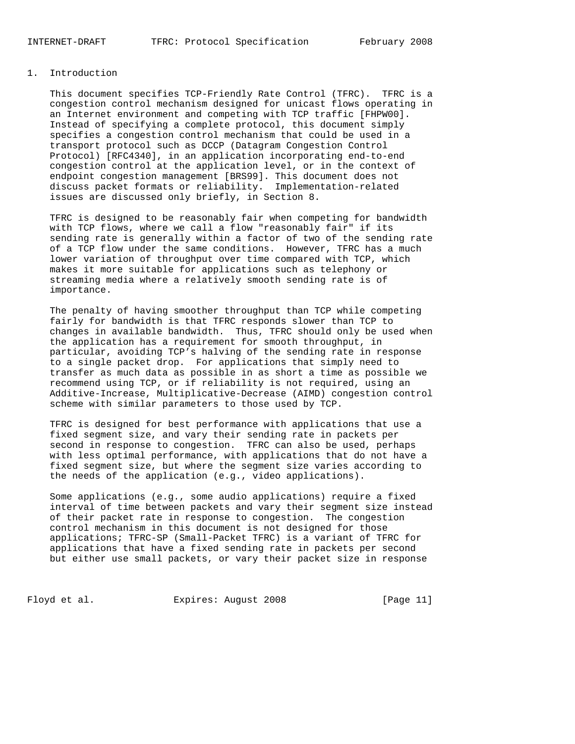### 1. Introduction

 This document specifies TCP-Friendly Rate Control (TFRC). TFRC is a congestion control mechanism designed for unicast flows operating in an Internet environment and competing with TCP traffic [FHPW00]. Instead of specifying a complete protocol, this document simply specifies a congestion control mechanism that could be used in a transport protocol such as DCCP (Datagram Congestion Control Protocol) [RFC4340], in an application incorporating end-to-end congestion control at the application level, or in the context of endpoint congestion management [BRS99]. This document does not discuss packet formats or reliability. Implementation-related issues are discussed only briefly, in Section 8.

 TFRC is designed to be reasonably fair when competing for bandwidth with TCP flows, where we call a flow "reasonably fair" if its sending rate is generally within a factor of two of the sending rate of a TCP flow under the same conditions. However, TFRC has a much lower variation of throughput over time compared with TCP, which makes it more suitable for applications such as telephony or streaming media where a relatively smooth sending rate is of importance.

 The penalty of having smoother throughput than TCP while competing fairly for bandwidth is that TFRC responds slower than TCP to changes in available bandwidth. Thus, TFRC should only be used when the application has a requirement for smooth throughput, in particular, avoiding TCP's halving of the sending rate in response to a single packet drop. For applications that simply need to transfer as much data as possible in as short a time as possible we recommend using TCP, or if reliability is not required, using an Additive-Increase, Multiplicative-Decrease (AIMD) congestion control scheme with similar parameters to those used by TCP.

 TFRC is designed for best performance with applications that use a fixed segment size, and vary their sending rate in packets per second in response to congestion. TFRC can also be used, perhaps with less optimal performance, with applications that do not have a fixed segment size, but where the segment size varies according to the needs of the application (e.g., video applications).

 Some applications (e.g., some audio applications) require a fixed interval of time between packets and vary their segment size instead of their packet rate in response to congestion. The congestion control mechanism in this document is not designed for those applications; TFRC-SP (Small-Packet TFRC) is a variant of TFRC for applications that have a fixed sending rate in packets per second but either use small packets, or vary their packet size in response

Floyd et al. Expires: August 2008 [Page 11]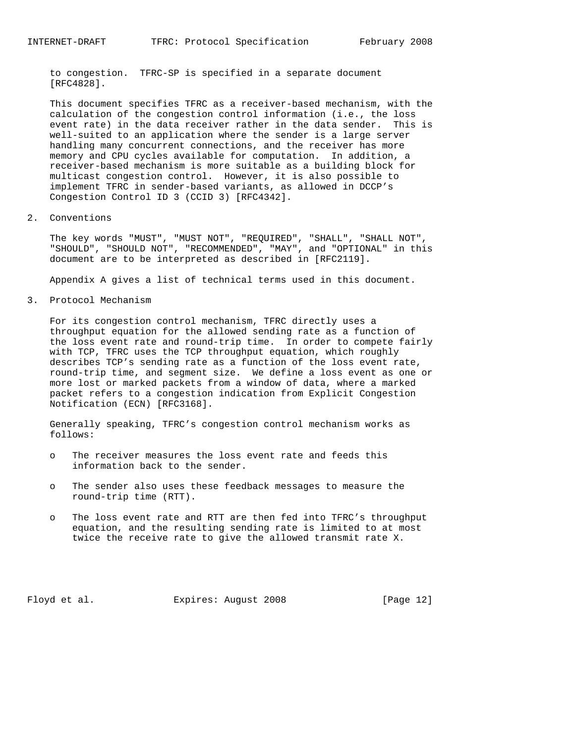to congestion. TFRC-SP is specified in a separate document [RFC4828].

 This document specifies TFRC as a receiver-based mechanism, with the calculation of the congestion control information (i.e., the loss event rate) in the data receiver rather in the data sender. This is well-suited to an application where the sender is a large server handling many concurrent connections, and the receiver has more memory and CPU cycles available for computation. In addition, a receiver-based mechanism is more suitable as a building block for multicast congestion control. However, it is also possible to implement TFRC in sender-based variants, as allowed in DCCP's Congestion Control ID 3 (CCID 3) [RFC4342].

### 2. Conventions

 The key words "MUST", "MUST NOT", "REQUIRED", "SHALL", "SHALL NOT", "SHOULD", "SHOULD NOT", "RECOMMENDED", "MAY", and "OPTIONAL" in this document are to be interpreted as described in [RFC2119].

Appendix A gives a list of technical terms used in this document.

3. Protocol Mechanism

 For its congestion control mechanism, TFRC directly uses a throughput equation for the allowed sending rate as a function of the loss event rate and round-trip time. In order to compete fairly with TCP, TFRC uses the TCP throughput equation, which roughly describes TCP's sending rate as a function of the loss event rate, round-trip time, and segment size. We define a loss event as one or more lost or marked packets from a window of data, where a marked packet refers to a congestion indication from Explicit Congestion Notification (ECN) [RFC3168].

 Generally speaking, TFRC's congestion control mechanism works as follows:

- o The receiver measures the loss event rate and feeds this information back to the sender.
- o The sender also uses these feedback messages to measure the round-trip time (RTT).
- o The loss event rate and RTT are then fed into TFRC's throughput equation, and the resulting sending rate is limited to at most twice the receive rate to give the allowed transmit rate X.

Floyd et al. Expires: August 2008 [Page 12]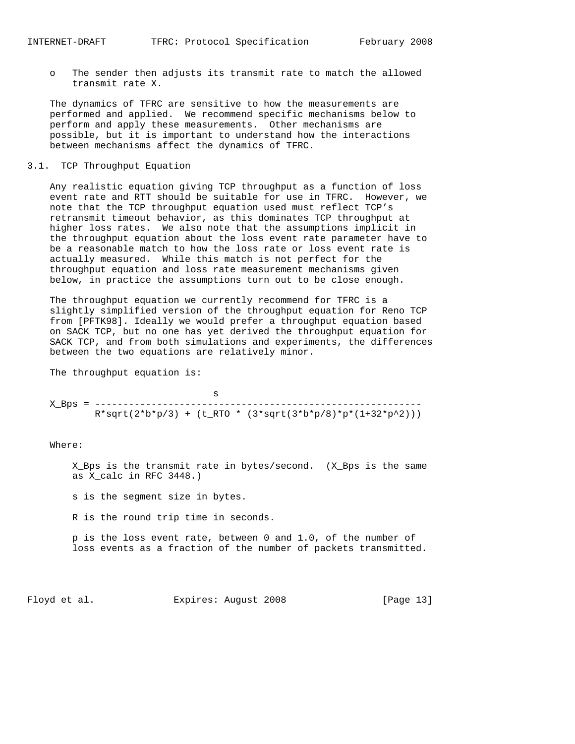o The sender then adjusts its transmit rate to match the allowed transmit rate X.

 The dynamics of TFRC are sensitive to how the measurements are performed and applied. We recommend specific mechanisms below to perform and apply these measurements. Other mechanisms are possible, but it is important to understand how the interactions between mechanisms affect the dynamics of TFRC.

### 3.1. TCP Throughput Equation

 Any realistic equation giving TCP throughput as a function of loss event rate and RTT should be suitable for use in TFRC. However, we note that the TCP throughput equation used must reflect TCP's retransmit timeout behavior, as this dominates TCP throughput at higher loss rates. We also note that the assumptions implicit in the throughput equation about the loss event rate parameter have to be a reasonable match to how the loss rate or loss event rate is actually measured. While this match is not perfect for the throughput equation and loss rate measurement mechanisms given below, in practice the assumptions turn out to be close enough.

 The throughput equation we currently recommend for TFRC is a slightly simplified version of the throughput equation for Reno TCP from [PFTK98]. Ideally we would prefer a throughput equation based on SACK TCP, but no one has yet derived the throughput equation for SACK TCP, and from both simulations and experiments, the differences between the two equations are relatively minor.

The throughput equation is:

 s X\_Bps = ----------------------------------------------------------  $R*sqrt(2*b*p/3) + (t_RTO * (3*sqrt(3*b*p/8)*p*(1+32*p^2)))$ 

Where:

 X\_Bps is the transmit rate in bytes/second. (X\_Bps is the same as X\_calc in RFC 3448.)

s is the segment size in bytes.

R is the round trip time in seconds.

 p is the loss event rate, between 0 and 1.0, of the number of loss events as a fraction of the number of packets transmitted.

Floyd et al. Expires: August 2008 [Page 13]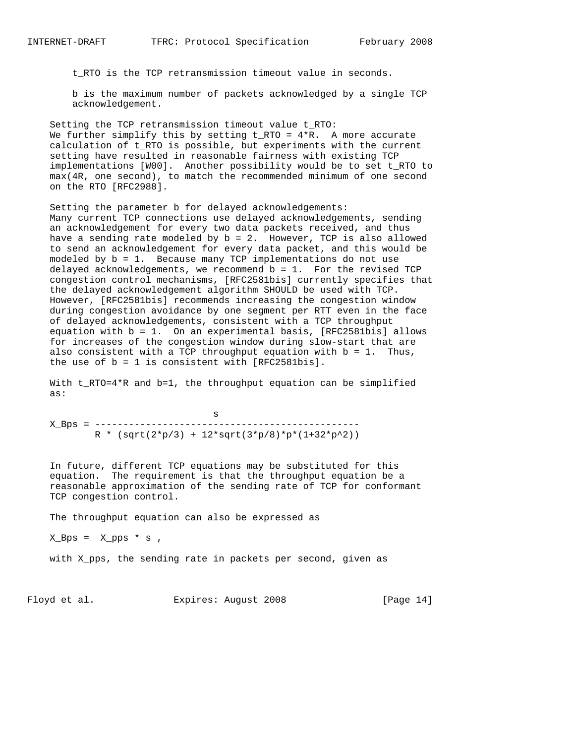t\_RTO is the TCP retransmission timeout value in seconds.

 b is the maximum number of packets acknowledged by a single TCP acknowledgement.

 Setting the TCP retransmission timeout value t\_RTO: We further simplify this by setting  $t_RTO = 4*R$ . A more accurate calculation of t\_RTO is possible, but experiments with the current setting have resulted in reasonable fairness with existing TCP implementations [W00]. Another possibility would be to set t\_RTO to max(4R, one second), to match the recommended minimum of one second on the RTO [RFC2988].

 Setting the parameter b for delayed acknowledgements: Many current TCP connections use delayed acknowledgements, sending an acknowledgement for every two data packets received, and thus have a sending rate modeled by b = 2. However, TCP is also allowed to send an acknowledgement for every data packet, and this would be modeled by b = 1. Because many TCP implementations do not use delayed acknowledgements, we recommend  $b = 1$ . For the revised TCP congestion control mechanisms, [RFC2581bis] currently specifies that the delayed acknowledgement algorithm SHOULD be used with TCP. However, [RFC2581bis] recommends increasing the congestion window during congestion avoidance by one segment per RTT even in the face of delayed acknowledgements, consistent with a TCP throughput equation with b = 1. On an experimental basis, [RFC2581bis] allows for increases of the congestion window during slow-start that are also consistent with a TCP throughput equation with  $b = 1$ . Thus, the use of  $b = 1$  is consistent with  $[RFC2581bis]$ .

With t RTO=4\*R and b=1, the throughput equation can be simplified as:

 s X\_Bps = -----------------------------------------------  $R * (sqrt(2*p/3) + 12*sqrt(3*p/8)*p*(1+32*p^2))$ 

 In future, different TCP equations may be substituted for this equation. The requirement is that the throughput equation be a reasonable approximation of the sending rate of TCP for conformant TCP congestion control.

The throughput equation can also be expressed as

 $X_Bps = X_pps * s$ ,

with X\_pps, the sending rate in packets per second, given as

Floyd et al. **Expires:** August 2008 [Page 14]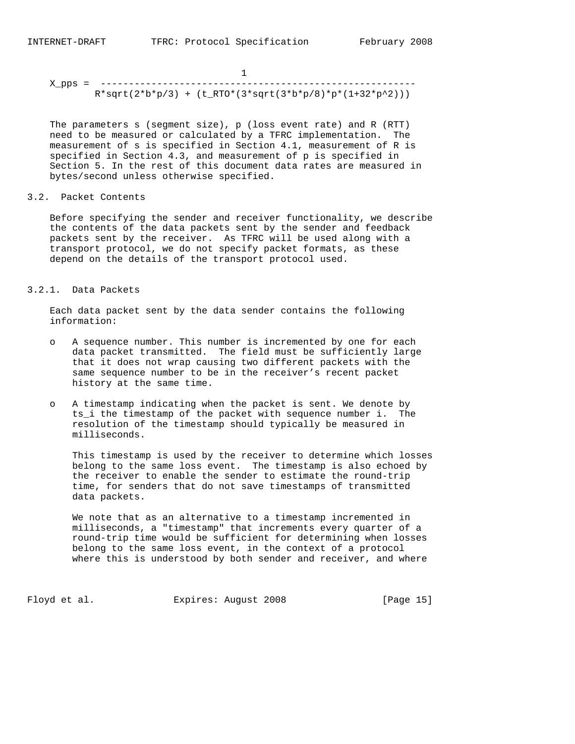X\_pps = --------------------------------------------------------  $R*sqrt(2*b*p/3) + (t_RTO*(3*sqrt(3*b*p/8)*p*(1+32*p^2)))$ 

 The parameters s (segment size), p (loss event rate) and R (RTT) need to be measured or calculated by a TFRC implementation. The measurement of s is specified in Section 4.1, measurement of R is specified in Section 4.3, and measurement of p is specified in Section 5. In the rest of this document data rates are measured in bytes/second unless otherwise specified.

3.2. Packet Contents

 Before specifying the sender and receiver functionality, we describe the contents of the data packets sent by the sender and feedback packets sent by the receiver. As TFRC will be used along with a transport protocol, we do not specify packet formats, as these depend on the details of the transport protocol used.

### 3.2.1. Data Packets

 Each data packet sent by the data sender contains the following information:

- o A sequence number. This number is incremented by one for each data packet transmitted. The field must be sufficiently large that it does not wrap causing two different packets with the same sequence number to be in the receiver's recent packet history at the same time.
- o A timestamp indicating when the packet is sent. We denote by ts\_i the timestamp of the packet with sequence number i. The resolution of the timestamp should typically be measured in milliseconds.

 This timestamp is used by the receiver to determine which losses belong to the same loss event. The timestamp is also echoed by the receiver to enable the sender to estimate the round-trip time, for senders that do not save timestamps of transmitted data packets.

 We note that as an alternative to a timestamp incremented in milliseconds, a "timestamp" that increments every quarter of a round-trip time would be sufficient for determining when losses belong to the same loss event, in the context of a protocol where this is understood by both sender and receiver, and where

Floyd et al. Expires: August 2008 [Page 15]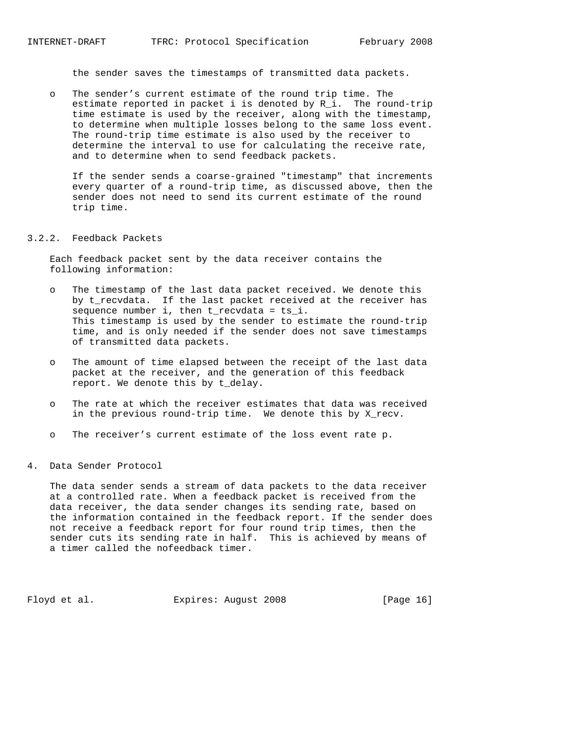the sender saves the timestamps of transmitted data packets.

 o The sender's current estimate of the round trip time. The estimate reported in packet i is denoted by R\_i. The round-trip time estimate is used by the receiver, along with the timestamp, to determine when multiple losses belong to the same loss event. The round-trip time estimate is also used by the receiver to determine the interval to use for calculating the receive rate, and to determine when to send feedback packets.

 If the sender sends a coarse-grained "timestamp" that increments every quarter of a round-trip time, as discussed above, then the sender does not need to send its current estimate of the round trip time.

#### 3.2.2. Feedback Packets

 Each feedback packet sent by the data receiver contains the following information:

- o The timestamp of the last data packet received. We denote this by t\_recvdata. If the last packet received at the receiver has sequence number i, then t\_recvdata = ts\_i. This timestamp is used by the sender to estimate the round-trip time, and is only needed if the sender does not save timestamps of transmitted data packets.
- o The amount of time elapsed between the receipt of the last data packet at the receiver, and the generation of this feedback report. We denote this by t\_delay.
- o The rate at which the receiver estimates that data was received in the previous round-trip time. We denote this by X\_recv.
- o The receiver's current estimate of the loss event rate p.
- 4. Data Sender Protocol

 The data sender sends a stream of data packets to the data receiver at a controlled rate. When a feedback packet is received from the data receiver, the data sender changes its sending rate, based on the information contained in the feedback report. If the sender does not receive a feedback report for four round trip times, then the sender cuts its sending rate in half. This is achieved by means of a timer called the nofeedback timer.

Floyd et al. Expires: August 2008 [Page 16]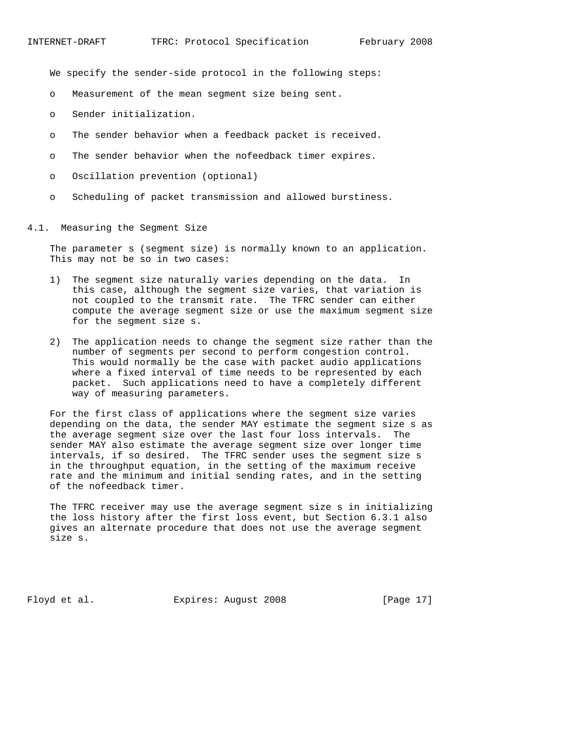We specify the sender-side protocol in the following steps:

- o Measurement of the mean segment size being sent.
- o Sender initialization.
- o The sender behavior when a feedback packet is received.
- o The sender behavior when the nofeedback timer expires.
- o Oscillation prevention (optional)
- o Scheduling of packet transmission and allowed burstiness.

### 4.1. Measuring the Segment Size

 The parameter s (segment size) is normally known to an application. This may not be so in two cases:

- 1) The segment size naturally varies depending on the data. In this case, although the segment size varies, that variation is not coupled to the transmit rate. The TFRC sender can either compute the average segment size or use the maximum segment size for the segment size s.
- 2) The application needs to change the segment size rather than the number of segments per second to perform congestion control. This would normally be the case with packet audio applications where a fixed interval of time needs to be represented by each packet. Such applications need to have a completely different way of measuring parameters.

 For the first class of applications where the segment size varies depending on the data, the sender MAY estimate the segment size s as the average segment size over the last four loss intervals. The sender MAY also estimate the average segment size over longer time intervals, if so desired. The TFRC sender uses the segment size s in the throughput equation, in the setting of the maximum receive rate and the minimum and initial sending rates, and in the setting of the nofeedback timer.

 The TFRC receiver may use the average segment size s in initializing the loss history after the first loss event, but Section 6.3.1 also gives an alternate procedure that does not use the average segment size s.

Floyd et al. Expires: August 2008 [Page 17]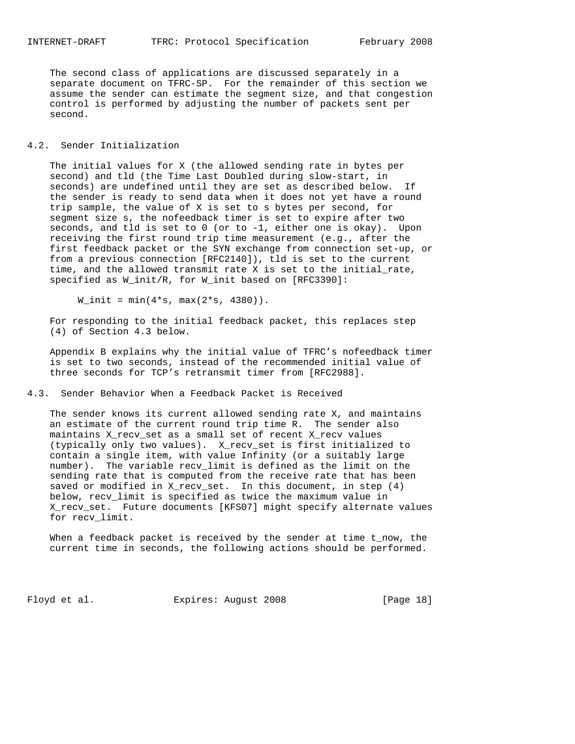The second class of applications are discussed separately in a separate document on TFRC-SP. For the remainder of this section we assume the sender can estimate the segment size, and that congestion control is performed by adjusting the number of packets sent per second.

### 4.2. Sender Initialization

 The initial values for X (the allowed sending rate in bytes per second) and tld (the Time Last Doubled during slow-start, in seconds) are undefined until they are set as described below. If the sender is ready to send data when it does not yet have a round trip sample, the value of X is set to s bytes per second, for segment size s, the nofeedback timer is set to expire after two seconds, and tld is set to 0 (or to -1, either one is okay). Upon receiving the first round trip time measurement (e.g., after the first feedback packet or the SYN exchange from connection set-up, or from a previous connection [RFC2140]), tld is set to the current time, and the allowed transmit rate X is set to the initial\_rate, specified as W\_init/R, for W\_init based on [RFC3390]:

 $W_$ init = min( $4*s$ , max( $2*s$ , 4380)).

 For responding to the initial feedback packet, this replaces step (4) of Section 4.3 below.

 Appendix B explains why the initial value of TFRC's nofeedback timer is set to two seconds, instead of the recommended initial value of three seconds for TCP's retransmit timer from [RFC2988].

### 4.3. Sender Behavior When a Feedback Packet is Received

 The sender knows its current allowed sending rate X, and maintains an estimate of the current round trip time R. The sender also maintains X\_recv\_set as a small set of recent X\_recv values (typically only two values). X\_recv\_set is first initialized to contain a single item, with value Infinity (or a suitably large number). The variable recv\_limit is defined as the limit on the sending rate that is computed from the receive rate that has been saved or modified in X\_recv\_set. In this document, in step (4) below, recv\_limit is specified as twice the maximum value in X\_recv\_set. Future documents [KFS07] might specify alternate values for recv\_limit.

 When a feedback packet is received by the sender at time t\_now, the current time in seconds, the following actions should be performed.

Floyd et al. Expires: August 2008 [Page 18]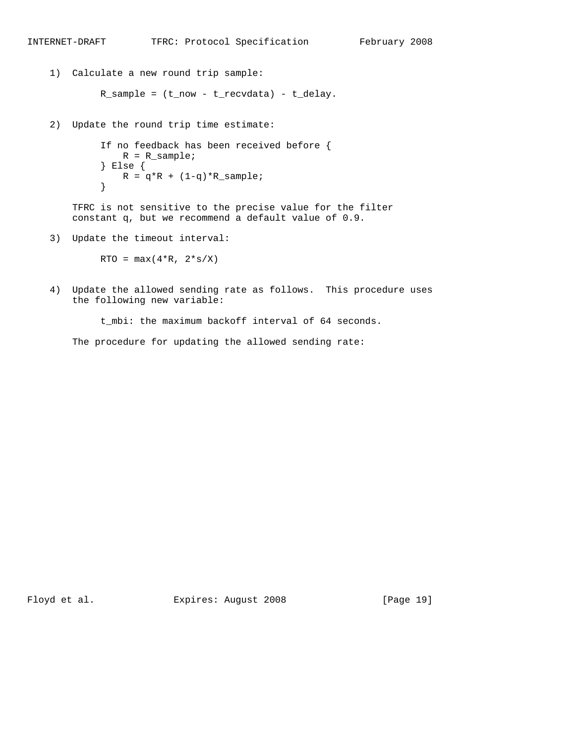```
 1) Calculate a new round trip sample:
           R_sample = (t_now - t_recvdata) - t_delay.
   2) Update the round trip time estimate:
            If no feedback has been received before {
              R = R sample;
            } Else {
           R = q^*R + (1-q)^*R _sample;
}
       TFRC is not sensitive to the precise value for the filter
       constant q, but we recommend a default value of 0.9.
   3) Update the timeout interval:
           RTO = max(4*R, 2*s/X)
```
INTERNET-DRAFT TFRC: Protocol Specification February 2008

 4) Update the allowed sending rate as follows. This procedure uses the following new variable:

t\_mbi: the maximum backoff interval of 64 seconds.

The procedure for updating the allowed sending rate:

Floyd et al. Expires: August 2008 [Page 19]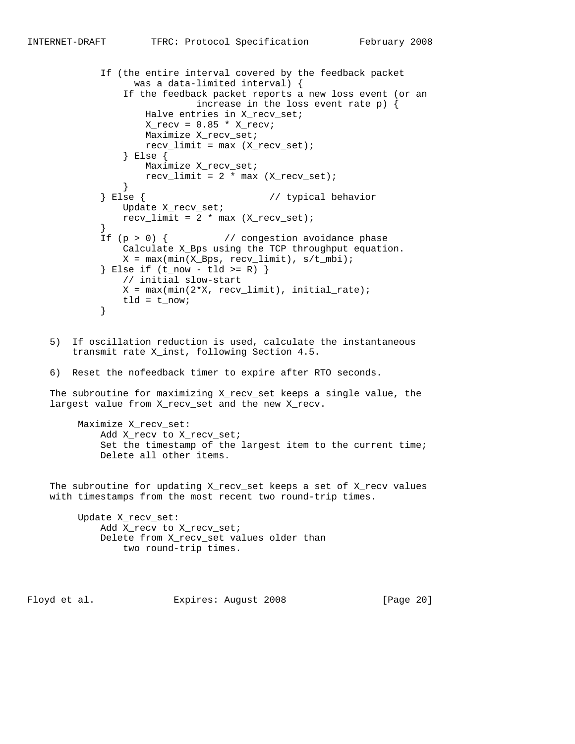If (the entire interval covered by the feedback packet was a data-limited interval) { If the feedback packet reports a new loss event (or an increase in the loss event rate p) { Halve entries in X\_recv\_set;  $X_{recv} = 0.85 * X_{recvi}$  Maximize X\_recv\_set;  $recv_limit = max (X_recv_set);$  } Else { Maximize X\_recv\_set;  $recv_limit = 2 * max (X_recv_set);$  } } Else { // typical behavior Update X\_recv\_set;  $recv_limit = 2 * max (X-recv_set);$  } If  $(p > 0)$  {  $//$  congestion avoidance phase Calculate X\_Bps using the TCP throughput equation.  $X = max(min(X_Bps, recv_limit), s/t_mbi);$  $\}$  Else if (t\_now - tld >= R)  $\}$  // initial slow-start  $X = max(min(2*X, recv_limit), initial_rate);$ tld =  $t_{now};$ }

- 5) If oscillation reduction is used, calculate the instantaneous transmit rate X\_inst, following Section 4.5.
- 6) Reset the nofeedback timer to expire after RTO seconds.

 The subroutine for maximizing X\_recv\_set keeps a single value, the largest value from X\_recv\_set and the new X\_recv.

 Maximize X\_recv\_set: Add X\_recv to X\_recv\_set; Set the timestamp of the largest item to the current time; Delete all other items.

 The subroutine for updating X\_recv\_set keeps a set of X\_recv values with timestamps from the most recent two round-trip times.

 Update X\_recv\_set: Add X\_recv to X\_recv\_set; Delete from X\_recv\_set values older than two round-trip times.

Floyd et al. **Expires:** August 2008 [Page 20]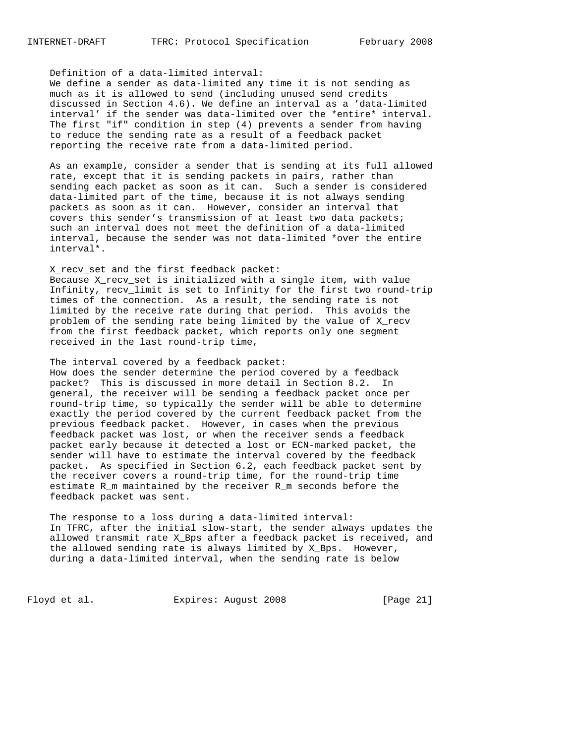Definition of a data-limited interval:

 We define a sender as data-limited any time it is not sending as much as it is allowed to send (including unused send credits discussed in Section 4.6). We define an interval as a 'data-limited interval' if the sender was data-limited over the \*entire\* interval. The first "if" condition in step (4) prevents a sender from having to reduce the sending rate as a result of a feedback packet reporting the receive rate from a data-limited period.

 As an example, consider a sender that is sending at its full allowed rate, except that it is sending packets in pairs, rather than sending each packet as soon as it can. Such a sender is considered data-limited part of the time, because it is not always sending packets as soon as it can. However, consider an interval that covers this sender's transmission of at least two data packets; such an interval does not meet the definition of a data-limited interval, because the sender was not data-limited \*over the entire interval\*.

 X\_recv\_set and the first feedback packet: Because X\_recv\_set is initialized with a single item, with value Infinity, recv\_limit is set to Infinity for the first two round-trip times of the connection. As a result, the sending rate is not limited by the receive rate during that period. This avoids the problem of the sending rate being limited by the value of X\_recv from the first feedback packet, which reports only one segment received in the last round-trip time,

 The interval covered by a feedback packet: How does the sender determine the period covered by a feedback packet? This is discussed in more detail in Section 8.2. In general, the receiver will be sending a feedback packet once per round-trip time, so typically the sender will be able to determine exactly the period covered by the current feedback packet from the previous feedback packet. However, in cases when the previous feedback packet was lost, or when the receiver sends a feedback packet early because it detected a lost or ECN-marked packet, the sender will have to estimate the interval covered by the feedback packet. As specified in Section 6.2, each feedback packet sent by the receiver covers a round-trip time, for the round-trip time estimate R\_m maintained by the receiver R\_m seconds before the feedback packet was sent.

 The response to a loss during a data-limited interval: In TFRC, after the initial slow-start, the sender always updates the allowed transmit rate X\_Bps after a feedback packet is received, and the allowed sending rate is always limited by X\_Bps. However, during a data-limited interval, when the sending rate is below

Floyd et al. Expires: August 2008 [Page 21]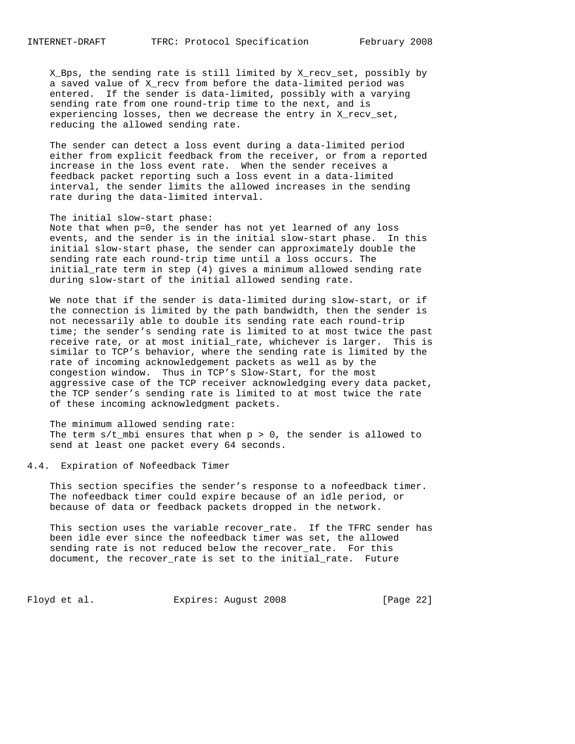X\_Bps, the sending rate is still limited by X\_recv\_set, possibly by a saved value of X\_recv from before the data-limited period was entered. If the sender is data-limited, possibly with a varying sending rate from one round-trip time to the next, and is experiencing losses, then we decrease the entry in X\_recv\_set, reducing the allowed sending rate.

 The sender can detect a loss event during a data-limited period either from explicit feedback from the receiver, or from a reported increase in the loss event rate. When the sender receives a feedback packet reporting such a loss event in a data-limited interval, the sender limits the allowed increases in the sending rate during the data-limited interval.

#### The initial slow-start phase:

 Note that when p=0, the sender has not yet learned of any loss events, and the sender is in the initial slow-start phase. In this initial slow-start phase, the sender can approximately double the sending rate each round-trip time until a loss occurs. The initial\_rate term in step (4) gives a minimum allowed sending rate during slow-start of the initial allowed sending rate.

 We note that if the sender is data-limited during slow-start, or if the connection is limited by the path bandwidth, then the sender is not necessarily able to double its sending rate each round-trip time; the sender's sending rate is limited to at most twice the past receive rate, or at most initial\_rate, whichever is larger. This is similar to TCP's behavior, where the sending rate is limited by the rate of incoming acknowledgement packets as well as by the congestion window. Thus in TCP's Slow-Start, for the most aggressive case of the TCP receiver acknowledging every data packet, the TCP sender's sending rate is limited to at most twice the rate of these incoming acknowledgment packets.

 The minimum allowed sending rate: The term  $s/t$  mbi ensures that when  $p > 0$ , the sender is allowed to send at least one packet every 64 seconds.

### 4.4. Expiration of Nofeedback Timer

 This section specifies the sender's response to a nofeedback timer. The nofeedback timer could expire because of an idle period, or because of data or feedback packets dropped in the network.

 This section uses the variable recover\_rate. If the TFRC sender has been idle ever since the nofeedback timer was set, the allowed sending rate is not reduced below the recover\_rate. For this document, the recover\_rate is set to the initial\_rate. Future

Floyd et al. Expires: August 2008 [Page 22]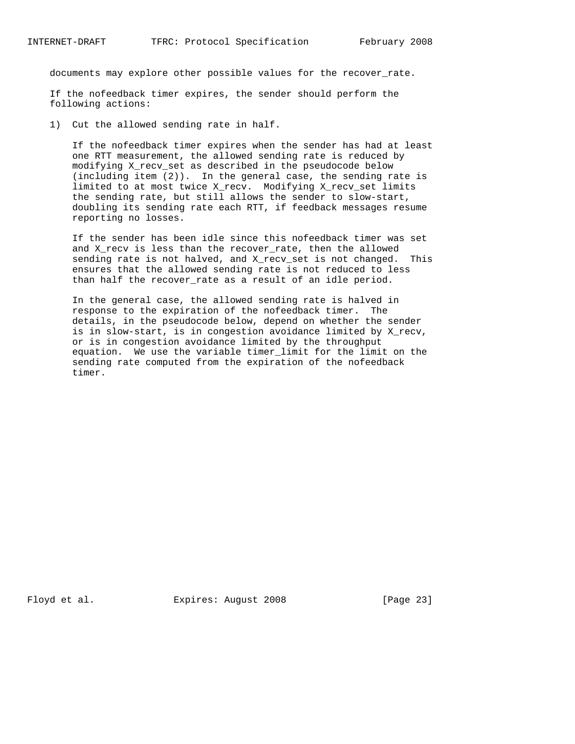documents may explore other possible values for the recover\_rate.

 If the nofeedback timer expires, the sender should perform the following actions:

1) Cut the allowed sending rate in half.

 If the nofeedback timer expires when the sender has had at least one RTT measurement, the allowed sending rate is reduced by modifying X\_recv\_set as described in the pseudocode below (including item (2)). In the general case, the sending rate is limited to at most twice X\_recv. Modifying X\_recv\_set limits the sending rate, but still allows the sender to slow-start, doubling its sending rate each RTT, if feedback messages resume reporting no losses.

 If the sender has been idle since this nofeedback timer was set and X\_recv is less than the recover\_rate, then the allowed sending rate is not halved, and X\_recv\_set is not changed. This ensures that the allowed sending rate is not reduced to less than half the recover\_rate as a result of an idle period.

 In the general case, the allowed sending rate is halved in response to the expiration of the nofeedback timer. The details, in the pseudocode below, depend on whether the sender is in slow-start, is in congestion avoidance limited by X\_recv, or is in congestion avoidance limited by the throughput equation. We use the variable timer\_limit for the limit on the sending rate computed from the expiration of the nofeedback timer.

Floyd et al. Expires: August 2008 [Page 23]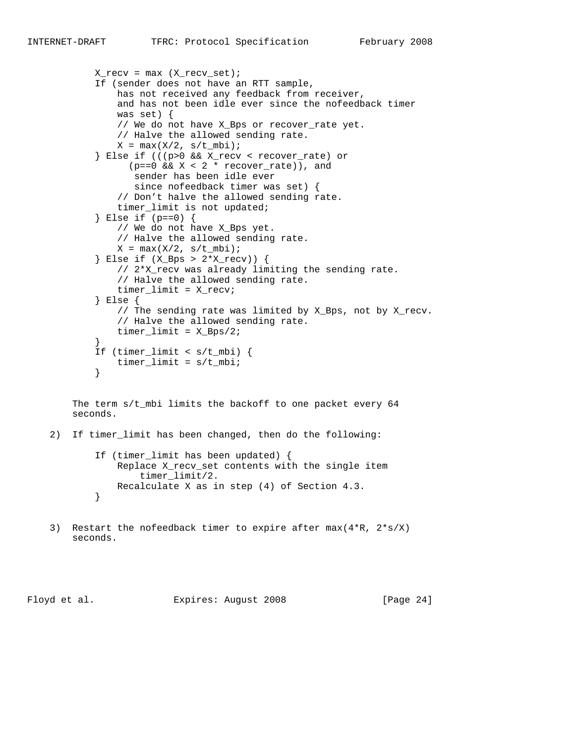```
X_{recv} = max (X_{recv_set});
            If (sender does not have an RTT sample,
                has not received any feedback from receiver,
                and has not been idle ever since the nofeedback timer
                was set) {
                // We do not have X_Bps or recover_rate yet.
                // Halve the allowed sending rate.
               X = \max(X/2, s/t_mbi);
            } Else if (((p>0 && X_recv < recover_rate) or
                 (p==0 \&x \times 2 * recover_rate), and
                  sender has been idle ever
                  since nofeedback timer was set) {
                // Don't halve the allowed sending rate.
                timer_limit is not updated;
            } Else if (p==0) {
                // We do not have X_Bps yet.
                // Halve the allowed sending rate.
               X = \max(X/2, s/t_mbi);
            } Else if (X_Bps > 2*X_recv)) {
                // 2*X_recv was already limiting the sending rate.
                // Halve the allowed sending rate.
                timer_limit = X_recv;
            } Else {
                // The sending rate was limited by X_Bps, not by X_recv.
                // Halve the allowed sending rate.
               timer\_limit = X_Bps/2; }
            If (timer_limit < s/t_mbi) {
           timer_limit = s/t_mbi;<br>}
}
```
The term  $s/t$  mbi limits the backoff to one packet every 64 seconds.

2) If timer\_limit has been changed, then do the following:

```
 If (timer_limit has been updated) {
              Replace X_recv_set contents with the single item
                  timer_limit/2.
          Recalculate X as in step (4) of Section 4.3.
}
```
 3) Restart the nofeedback timer to expire after max(4\*R, 2\*s/X) seconds.

Floyd et al. **Expires:** August 2008 [Page 24]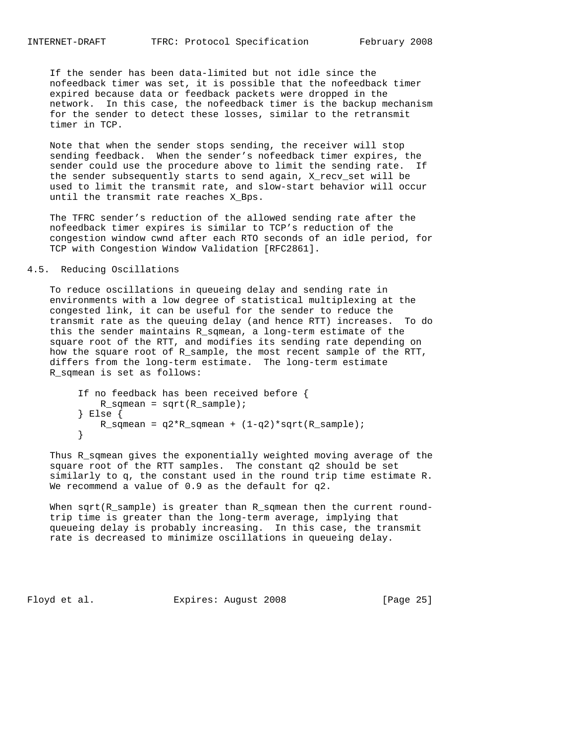If the sender has been data-limited but not idle since the nofeedback timer was set, it is possible that the nofeedback timer expired because data or feedback packets were dropped in the network. In this case, the nofeedback timer is the backup mechanism for the sender to detect these losses, similar to the retransmit timer in TCP.

 Note that when the sender stops sending, the receiver will stop sending feedback. When the sender's nofeedback timer expires, the sender could use the procedure above to limit the sending rate. If the sender subsequently starts to send again, X\_recv\_set will be used to limit the transmit rate, and slow-start behavior will occur until the transmit rate reaches X\_Bps.

 The TFRC sender's reduction of the allowed sending rate after the nofeedback timer expires is similar to TCP's reduction of the congestion window cwnd after each RTO seconds of an idle period, for TCP with Congestion Window Validation [RFC2861].

#### 4.5. Reducing Oscillations

 To reduce oscillations in queueing delay and sending rate in environments with a low degree of statistical multiplexing at the congested link, it can be useful for the sender to reduce the transmit rate as the queuing delay (and hence RTT) increases. To do this the sender maintains R\_sqmean, a long-term estimate of the square root of the RTT, and modifies its sending rate depending on how the square root of R\_sample, the most recent sample of the RTT, differs from the long-term estimate. The long-term estimate R\_sqmean is set as follows:

```
 If no feedback has been received before {
          R_sqmean = sqrt(R_sample);
        } Else {
       R_sqmean = q2*R_sqmean + (1-q2)*sqrt(R_sample);
}
```
 Thus R\_sqmean gives the exponentially weighted moving average of the square root of the RTT samples. The constant q2 should be set similarly to q, the constant used in the round trip time estimate R. We recommend a value of 0.9 as the default for q2.

When sqrt(R\_sample) is greater than R\_sqmean then the current round trip time is greater than the long-term average, implying that queueing delay is probably increasing. In this case, the transmit rate is decreased to minimize oscillations in queueing delay.

Floyd et al. Expires: August 2008 [Page 25]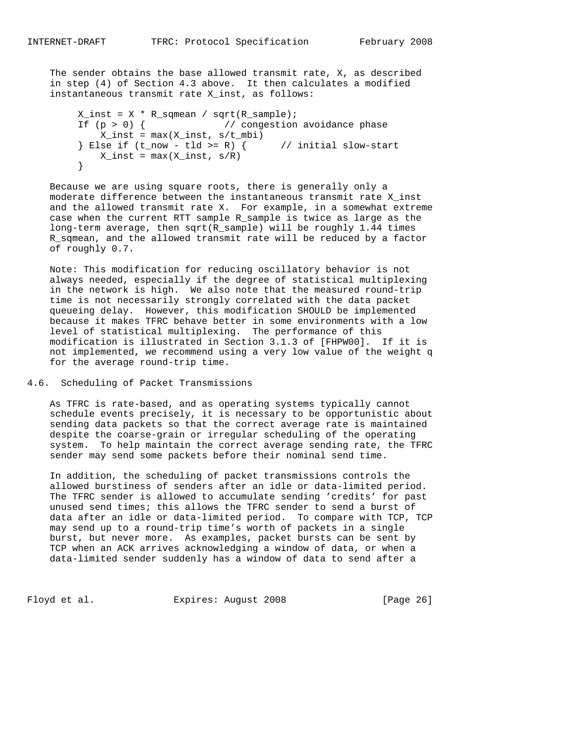The sender obtains the base allowed transmit rate, X, as described in step (4) of Section 4.3 above. It then calculates a modified instantaneous transmit rate X\_inst, as follows:

```
X_inst = X * R_sqmean / sqrt(R_sample);If (p > 0) { // congestion avoidance phase
           X_inst = max(X_inst, s/t_mbi)
       } Else if (t_{now} - tld \ge R) { // initial slow-start
       X\text{inst} = \max(X\text{inst}, s/R) }
```
 Because we are using square roots, there is generally only a moderate difference between the instantaneous transmit rate X\_inst and the allowed transmit rate X. For example, in a somewhat extreme case when the current RTT sample R\_sample is twice as large as the long-term average, then sqrt(R\_sample) will be roughly 1.44 times R\_sqmean, and the allowed transmit rate will be reduced by a factor of roughly 0.7.

 Note: This modification for reducing oscillatory behavior is not always needed, especially if the degree of statistical multiplexing in the network is high. We also note that the measured round-trip time is not necessarily strongly correlated with the data packet queueing delay. However, this modification SHOULD be implemented because it makes TFRC behave better in some environments with a low level of statistical multiplexing. The performance of this modification is illustrated in Section 3.1.3 of [FHPW00]. If it is not implemented, we recommend using a very low value of the weight q for the average round-trip time.

## 4.6. Scheduling of Packet Transmissions

 As TFRC is rate-based, and as operating systems typically cannot schedule events precisely, it is necessary to be opportunistic about sending data packets so that the correct average rate is maintained despite the coarse-grain or irregular scheduling of the operating system. To help maintain the correct average sending rate, the TFRC sender may send some packets before their nominal send time.

 In addition, the scheduling of packet transmissions controls the allowed burstiness of senders after an idle or data-limited period. The TFRC sender is allowed to accumulate sending 'credits' for past unused send times; this allows the TFRC sender to send a burst of data after an idle or data-limited period. To compare with TCP, TCP may send up to a round-trip time's worth of packets in a single burst, but never more. As examples, packet bursts can be sent by TCP when an ACK arrives acknowledging a window of data, or when a data-limited sender suddenly has a window of data to send after a

Floyd et al. Expires: August 2008 [Page 26]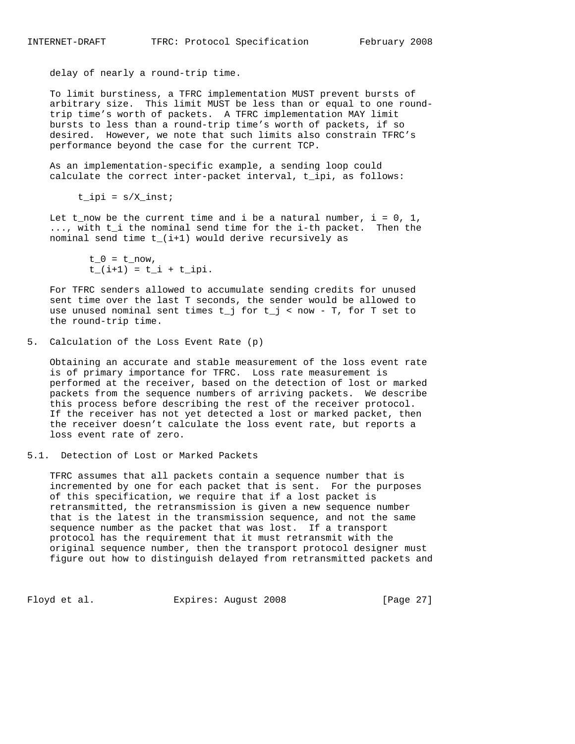delay of nearly a round-trip time.

 To limit burstiness, a TFRC implementation MUST prevent bursts of arbitrary size. This limit MUST be less than or equal to one round trip time's worth of packets. A TFRC implementation MAY limit bursts to less than a round-trip time's worth of packets, if so desired. However, we note that such limits also constrain TFRC's performance beyond the case for the current TCP.

 As an implementation-specific example, a sending loop could calculate the correct inter-packet interval, t\_ipi, as follows:

 $t$ \_ipi =  $s/X$ \_inst;

Let t\_now be the current time and i be a natural number,  $i = 0, 1,$ ..., with t i the nominal send time for the i-th packet. Then the nominal send time t\_(i+1) would derive recursively as

 $t_0 = t_{now}$ ,  $t_{-}(i+1) = t_{i} + t_{i}$ 

 For TFRC senders allowed to accumulate sending credits for unused sent time over the last T seconds, the sender would be allowed to use unused nominal sent times  $t_j$  for  $t_j <$  now - T, for T set to the round-trip time.

5. Calculation of the Loss Event Rate (p)

 Obtaining an accurate and stable measurement of the loss event rate is of primary importance for TFRC. Loss rate measurement is performed at the receiver, based on the detection of lost or marked packets from the sequence numbers of arriving packets. We describe this process before describing the rest of the receiver protocol. If the receiver has not yet detected a lost or marked packet, then the receiver doesn't calculate the loss event rate, but reports a loss event rate of zero.

5.1. Detection of Lost or Marked Packets

 TFRC assumes that all packets contain a sequence number that is incremented by one for each packet that is sent. For the purposes of this specification, we require that if a lost packet is retransmitted, the retransmission is given a new sequence number that is the latest in the transmission sequence, and not the same sequence number as the packet that was lost. If a transport protocol has the requirement that it must retransmit with the original sequence number, then the transport protocol designer must figure out how to distinguish delayed from retransmitted packets and

Floyd et al. **Expires:** August 2008 [Page 27]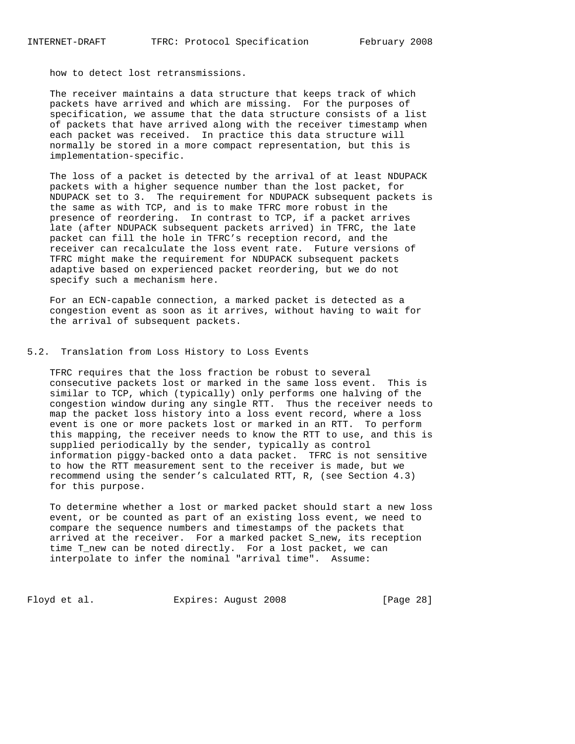how to detect lost retransmissions.

 The receiver maintains a data structure that keeps track of which packets have arrived and which are missing. For the purposes of specification, we assume that the data structure consists of a list of packets that have arrived along with the receiver timestamp when each packet was received. In practice this data structure will normally be stored in a more compact representation, but this is implementation-specific.

 The loss of a packet is detected by the arrival of at least NDUPACK packets with a higher sequence number than the lost packet, for NDUPACK set to 3. The requirement for NDUPACK subsequent packets is the same as with TCP, and is to make TFRC more robust in the presence of reordering. In contrast to TCP, if a packet arrives late (after NDUPACK subsequent packets arrived) in TFRC, the late packet can fill the hole in TFRC's reception record, and the receiver can recalculate the loss event rate. Future versions of TFRC might make the requirement for NDUPACK subsequent packets adaptive based on experienced packet reordering, but we do not specify such a mechanism here.

 For an ECN-capable connection, a marked packet is detected as a congestion event as soon as it arrives, without having to wait for the arrival of subsequent packets.

### 5.2. Translation from Loss History to Loss Events

 TFRC requires that the loss fraction be robust to several consecutive packets lost or marked in the same loss event. This is similar to TCP, which (typically) only performs one halving of the congestion window during any single RTT. Thus the receiver needs to map the packet loss history into a loss event record, where a loss event is one or more packets lost or marked in an RTT. To perform this mapping, the receiver needs to know the RTT to use, and this is supplied periodically by the sender, typically as control information piggy-backed onto a data packet. TFRC is not sensitive to how the RTT measurement sent to the receiver is made, but we recommend using the sender's calculated RTT, R, (see Section 4.3) for this purpose.

 To determine whether a lost or marked packet should start a new loss event, or be counted as part of an existing loss event, we need to compare the sequence numbers and timestamps of the packets that arrived at the receiver. For a marked packet S\_new, its reception time T\_new can be noted directly. For a lost packet, we can interpolate to infer the nominal "arrival time". Assume:

Floyd et al. **Expires:** August 2008 [Page 28]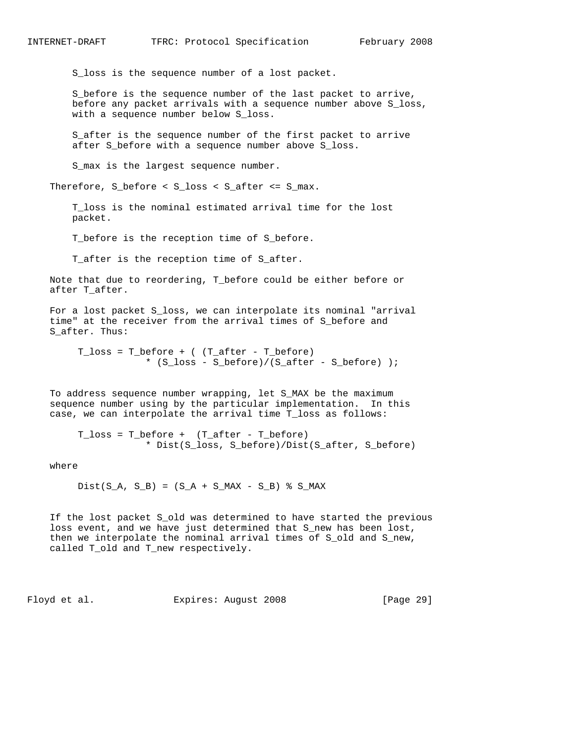S\_loss is the sequence number of a lost packet.

 S\_before is the sequence number of the last packet to arrive, before any packet arrivals with a sequence number above S\_loss, with a sequence number below S\_loss.

 S\_after is the sequence number of the first packet to arrive after S\_before with a sequence number above S\_loss.

S\_max is the largest sequence number.

Therefore, S\_before < S\_loss < S\_after <= S\_max.

 T\_loss is the nominal estimated arrival time for the lost packet.

T\_before is the reception time of S\_before.

T\_after is the reception time of S\_after.

 Note that due to reordering, T\_before could be either before or after T\_after.

 For a lost packet S\_loss, we can interpolate its nominal "arrival time" at the receiver from the arrival times of S\_before and S\_after. Thus:

T  $loss = T$  before + ( (T after - T before) \* (S\_loss - S\_before)/(S\_after - S\_before) );

 To address sequence number wrapping, let S\_MAX be the maximum sequence number using by the particular implementation. In this case, we can interpolate the arrival time T\_loss as follows:

 T\_loss = T\_before + (T\_after - T\_before) \* Dist(S\_loss, S\_before)/Dist(S\_after, S\_before)

where

 $Dist(S_A, S_B) = (S_A + S_MAX - S_B)$  % S\_MAX

 If the lost packet S\_old was determined to have started the previous loss event, and we have just determined that S\_new has been lost, then we interpolate the nominal arrival times of S\_old and S\_new, called T\_old and T\_new respectively.

Floyd et al. Expires: August 2008 [Page 29]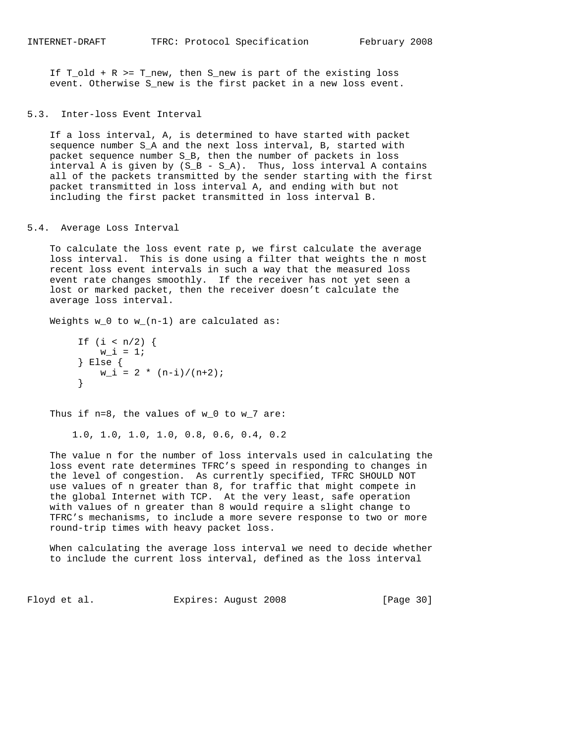If T\_old + R >= T\_new, then S\_new is part of the existing loss event. Otherwise S\_new is the first packet in a new loss event.

### 5.3. Inter-loss Event Interval

 If a loss interval, A, is determined to have started with packet sequence number S\_A and the next loss interval, B, started with packet sequence number S\_B, then the number of packets in loss interval A is given by  $(S_B - S_A)$ . Thus, loss interval A contains all of the packets transmitted by the sender starting with the first packet transmitted in loss interval A, and ending with but not including the first packet transmitted in loss interval B.

### 5.4. Average Loss Interval

 To calculate the loss event rate p, we first calculate the average loss interval. This is done using a filter that weights the n most recent loss event intervals in such a way that the measured loss event rate changes smoothly. If the receiver has not yet seen a lost or marked packet, then the receiver doesn't calculate the average loss interval.

Weights w\_0 to w\_(n-1) are calculated as:

```
If (i < n/2) {
        w_i = 1; } Else {
      W_i = 2 * (n-i)/(n+2); }
```
Thus if  $n=8$ , the values of  $w_0$  to  $w_7$  are:

1.0, 1.0, 1.0, 1.0, 0.8, 0.6, 0.4, 0.2

 The value n for the number of loss intervals used in calculating the loss event rate determines TFRC's speed in responding to changes in the level of congestion. As currently specified, TFRC SHOULD NOT use values of n greater than 8, for traffic that might compete in the global Internet with TCP. At the very least, safe operation with values of n greater than 8 would require a slight change to TFRC's mechanisms, to include a more severe response to two or more round-trip times with heavy packet loss.

 When calculating the average loss interval we need to decide whether to include the current loss interval, defined as the loss interval

Floyd et al. Expires: August 2008 [Page 30]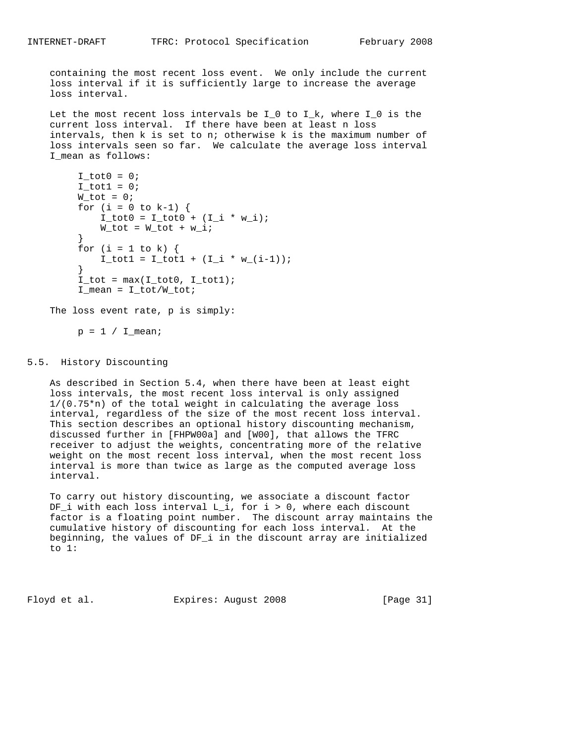containing the most recent loss event. We only include the current loss interval if it is sufficiently large to increase the average loss interval.

 Let the most recent loss intervals be I\_0 to I\_k, where I\_0 is the current loss interval. If there have been at least n loss intervals, then k is set to n; otherwise k is the maximum number of loss intervals seen so far. We calculate the average loss interval I\_mean as follows:

```
I\_tot0 = 0;I_{tot1} = 0;W_tot = 0;for (i = 0 to k-1) {
            I_{tot0} = I_{tot0} + (I_{i} * w_{i});W_tot = W_tot + w_i; }
        for (i = 1 to k) {
          I_{tot1} = I_{tot1} + (I_{i} * w_{i} - i - 1)); }
        I\_tot = max(I\_tot0, I\_tot1);I_mean = I\_tot/W\_tot;
```
The loss event rate, p is simply:

 $p = 1 / I$  mean;

### 5.5. History Discounting

 As described in Section 5.4, when there have been at least eight loss intervals, the most recent loss interval is only assigned 1/(0.75\*n) of the total weight in calculating the average loss interval, regardless of the size of the most recent loss interval. This section describes an optional history discounting mechanism, discussed further in [FHPW00a] and [W00], that allows the TFRC receiver to adjust the weights, concentrating more of the relative weight on the most recent loss interval, when the most recent loss interval is more than twice as large as the computed average loss interval.

 To carry out history discounting, we associate a discount factor DF\_i with each loss interval L\_i, for i > 0, where each discount factor is a floating point number. The discount array maintains the cumulative history of discounting for each loss interval. At the beginning, the values of DF\_i in the discount array are initialized to 1:

Floyd et al. Expires: August 2008 [Page 31]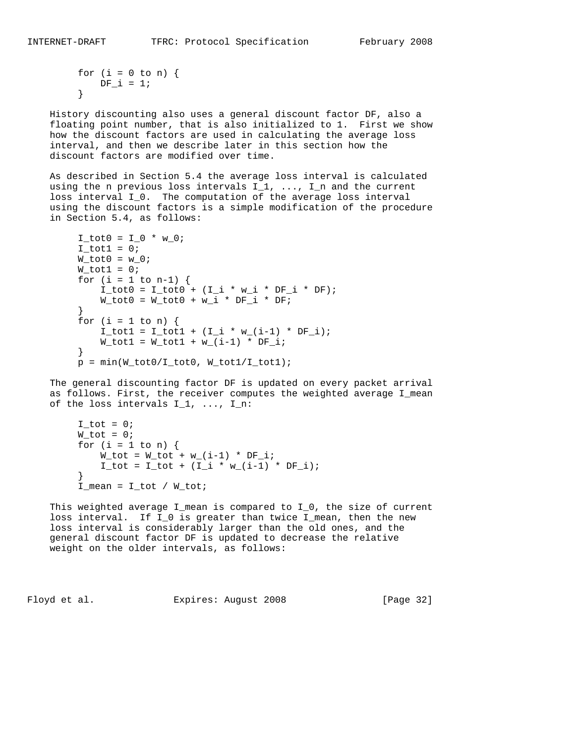```
for (i = 0 to n) {
     DF_i = 1; }
```
 History discounting also uses a general discount factor DF, also a floating point number, that is also initialized to 1. First we show how the discount factors are used in calculating the average loss interval, and then we describe later in this section how the discount factors are modified over time.

 As described in Section 5.4 the average loss interval is calculated using the n previous loss intervals  $I_1$ , ...,  $I_n$  and the current loss interval I\_0. The computation of the average loss interval using the discount factors is a simple modification of the procedure in Section 5.4, as follows:

```
I_{tot0} = I_{0} * w_{0};
        I\_tot1 = 0;W_tot0 = w_0;W_tot1 = 0;for (i = 1 to n-1) {
            I_{tot0} = I_{tot0} + (I_{i} * w_{i} * DF_{i} * DF);W_tot0 = W_tot0 + w_i * DF_i * DF_i }
        for (i = 1 to n) {
             I_{tot1} = I_{tot1} + (I_{i} * w_{i} - (i-1) * DF_{i};W_{tot1} = W_{tot1} + W_{in1} - 1 * DF<sub>i</sub>;
}
        p = min(W_tot0/I_tot0, W_tot1/I_tot1);
```
 The general discounting factor DF is updated on every packet arrival as follows. First, the receiver computes the weighted average I\_mean of the loss intervals  $I_1, \ldots, I_n$ :

```
I\_tot = 0;W_tot = 0;for (i = 1 to n) {
               W_{\text{tot}} = W_{\text{tot}} + W_{\text{tot}}(i-1) * DF_{\text{tot}};I_{tot} = I_{tot} + (I_{i} * w_{i} (i-1) * DF_{i}; }
          I_mean = I\_tot / W\_tot;
```
 This weighted average I\_mean is compared to I\_0, the size of current loss interval. If I\_0 is greater than twice I\_mean, then the new loss interval is considerably larger than the old ones, and the general discount factor DF is updated to decrease the relative weight on the older intervals, as follows:

Floyd et al. Expires: August 2008 [Page 32]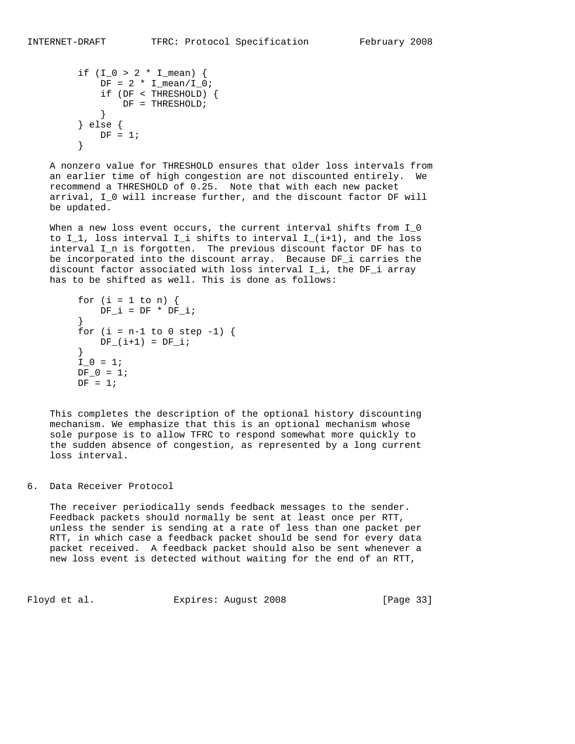```
if (I_0 > 2 * I_{mean}) {
                DF = 2 * I_mean / I_0; if (DF < THRESHOLD) {
                \begin{array}{rcl} \texttt{DF} & = & \texttt{THRESHOLD} \texttt{;} \\ \end{array} }
            } else {
           DF = 1; }
```
 A nonzero value for THRESHOLD ensures that older loss intervals from an earlier time of high congestion are not discounted entirely. We recommend a THRESHOLD of 0.25. Note that with each new packet arrival, I\_0 will increase further, and the discount factor DF will be updated.

When a new loss event occurs, the current interval shifts from I\_0 to  $I_1$ , loss interval  $I_i$  shifts to interval  $I_i(i+1)$ , and the loss interval I\_n is forgotten. The previous discount factor DF has to be incorporated into the discount array. Because DF\_i carries the discount factor associated with loss interval I\_i, the DF\_i array has to be shifted as well. This is done as follows:

```
for (i = 1 to n) {
         DF_i = DF * DF_i; }
      for (i = n-1 to 0 step -1) {
        DF_{i}(i+1) = DF_{i}; }
      I_0 = 1;DF_0 = 1;DF = 1;
```
 This completes the description of the optional history discounting mechanism. We emphasize that this is an optional mechanism whose sole purpose is to allow TFRC to respond somewhat more quickly to the sudden absence of congestion, as represented by a long current loss interval.

6. Data Receiver Protocol

 The receiver periodically sends feedback messages to the sender. Feedback packets should normally be sent at least once per RTT, unless the sender is sending at a rate of less than one packet per RTT, in which case a feedback packet should be send for every data packet received. A feedback packet should also be sent whenever a new loss event is detected without waiting for the end of an RTT,

Floyd et al. Expires: August 2008 [Page 33]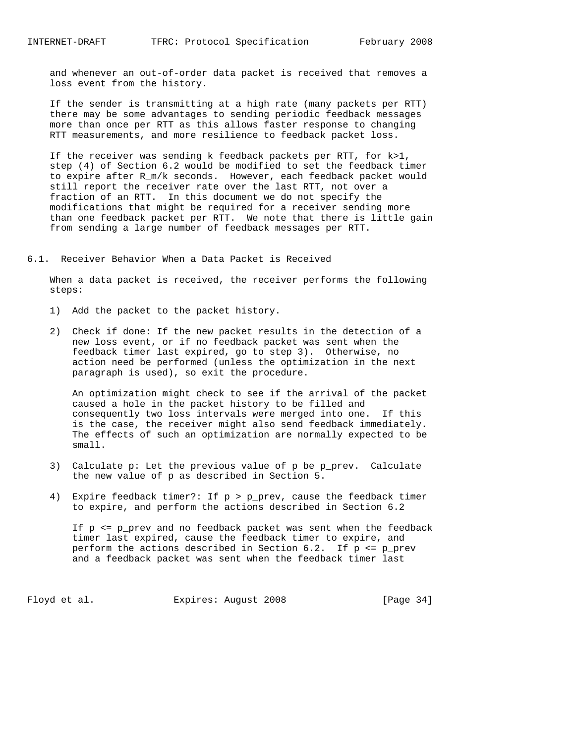and whenever an out-of-order data packet is received that removes a loss event from the history.

 If the sender is transmitting at a high rate (many packets per RTT) there may be some advantages to sending periodic feedback messages more than once per RTT as this allows faster response to changing RTT measurements, and more resilience to feedback packet loss.

 If the receiver was sending k feedback packets per RTT, for k>1, step (4) of Section 6.2 would be modified to set the feedback timer to expire after R\_m/k seconds. However, each feedback packet would still report the receiver rate over the last RTT, not over a fraction of an RTT. In this document we do not specify the modifications that might be required for a receiver sending more than one feedback packet per RTT. We note that there is little gain from sending a large number of feedback messages per RTT.

6.1. Receiver Behavior When a Data Packet is Received

 When a data packet is received, the receiver performs the following steps:

- 1) Add the packet to the packet history.
- 2) Check if done: If the new packet results in the detection of a new loss event, or if no feedback packet was sent when the feedback timer last expired, go to step 3). Otherwise, no action need be performed (unless the optimization in the next paragraph is used), so exit the procedure.

 An optimization might check to see if the arrival of the packet caused a hole in the packet history to be filled and consequently two loss intervals were merged into one. If this is the case, the receiver might also send feedback immediately. The effects of such an optimization are normally expected to be small.

- 3) Calculate p: Let the previous value of p be p\_prev. Calculate the new value of p as described in Section 5.
- 4) Expire feedback timer?: If p > p\_prev, cause the feedback timer to expire, and perform the actions described in Section 6.2

 If p <= p\_prev and no feedback packet was sent when the feedback timer last expired, cause the feedback timer to expire, and perform the actions described in Section 6.2. If  $p \le p\$  prev and a feedback packet was sent when the feedback timer last

Floyd et al. **Expires:** August 2008 [Page 34]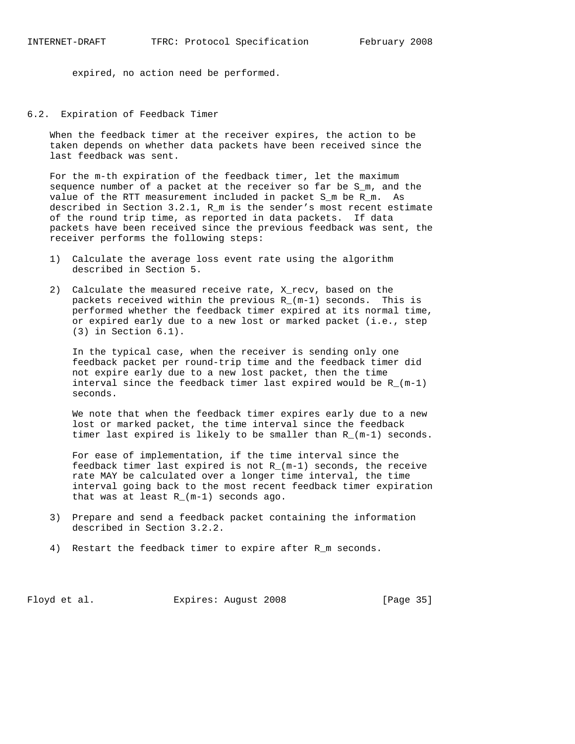expired, no action need be performed.

6.2. Expiration of Feedback Timer

 When the feedback timer at the receiver expires, the action to be taken depends on whether data packets have been received since the last feedback was sent.

 For the m-th expiration of the feedback timer, let the maximum sequence number of a packet at the receiver so far be S\_m, and the value of the RTT measurement included in packet S\_m be R\_m. As described in Section 3.2.1, R\_m is the sender's most recent estimate of the round trip time, as reported in data packets. If data packets have been received since the previous feedback was sent, the receiver performs the following steps:

- 1) Calculate the average loss event rate using the algorithm described in Section 5.
- 2) Calculate the measured receive rate, X\_recv, based on the packets received within the previous R\_(m-1) seconds. This is performed whether the feedback timer expired at its normal time, or expired early due to a new lost or marked packet (i.e., step (3) in Section 6.1).

 In the typical case, when the receiver is sending only one feedback packet per round-trip time and the feedback timer did not expire early due to a new lost packet, then the time interval since the feedback timer last expired would be  $R_{-}(m-1)$ seconds.

 We note that when the feedback timer expires early due to a new lost or marked packet, the time interval since the feedback timer last expired is likely to be smaller than R\_(m-1) seconds.

 For ease of implementation, if the time interval since the feedback timer last expired is not  $R_{-}(m-1)$  seconds, the receive rate MAY be calculated over a longer time interval, the time interval going back to the most recent feedback timer expiration that was at least R\_(m-1) seconds ago.

- 3) Prepare and send a feedback packet containing the information described in Section 3.2.2.
- 4) Restart the feedback timer to expire after R\_m seconds.

Floyd et al. Expires: August 2008 [Page 35]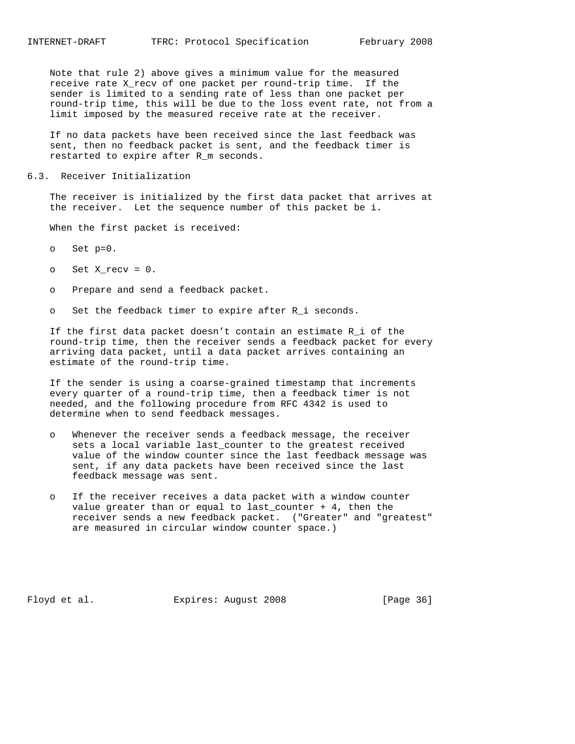Note that rule 2) above gives a minimum value for the measured receive rate X\_recv of one packet per round-trip time. If the sender is limited to a sending rate of less than one packet per round-trip time, this will be due to the loss event rate, not from a limit imposed by the measured receive rate at the receiver.

 If no data packets have been received since the last feedback was sent, then no feedback packet is sent, and the feedback timer is restarted to expire after R\_m seconds.

### 6.3. Receiver Initialization

 The receiver is initialized by the first data packet that arrives at the receiver. Let the sequence number of this packet be i.

When the first packet is received:

- o Set p=0.
- $o$  Set X\_recv =  $0$ .
- o Prepare and send a feedback packet.
- o Set the feedback timer to expire after R\_i seconds.

 If the first data packet doesn't contain an estimate R\_i of the round-trip time, then the receiver sends a feedback packet for every arriving data packet, until a data packet arrives containing an estimate of the round-trip time.

 If the sender is using a coarse-grained timestamp that increments every quarter of a round-trip time, then a feedback timer is not needed, and the following procedure from RFC 4342 is used to determine when to send feedback messages.

- o Whenever the receiver sends a feedback message, the receiver sets a local variable last\_counter to the greatest received value of the window counter since the last feedback message was sent, if any data packets have been received since the last feedback message was sent.
- o If the receiver receives a data packet with a window counter value greater than or equal to last\_counter + 4, then the receiver sends a new feedback packet. ("Greater" and "greatest" are measured in circular window counter space.)

Floyd et al. **Expires:** August 2008 [Page 36]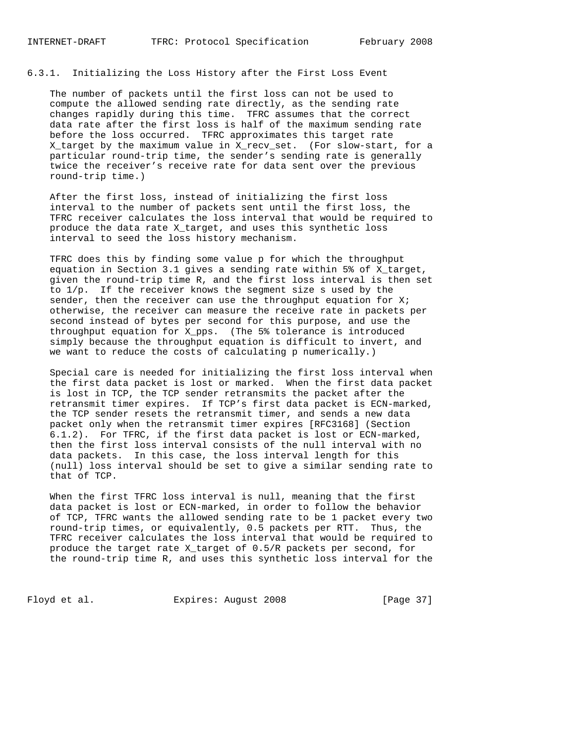6.3.1. Initializing the Loss History after the First Loss Event

 The number of packets until the first loss can not be used to compute the allowed sending rate directly, as the sending rate changes rapidly during this time. TFRC assumes that the correct data rate after the first loss is half of the maximum sending rate before the loss occurred. TFRC approximates this target rate X\_target by the maximum value in X\_recv\_set. (For slow-start, for a particular round-trip time, the sender's sending rate is generally twice the receiver's receive rate for data sent over the previous round-trip time.)

 After the first loss, instead of initializing the first loss interval to the number of packets sent until the first loss, the TFRC receiver calculates the loss interval that would be required to produce the data rate X\_target, and uses this synthetic loss interval to seed the loss history mechanism.

 TFRC does this by finding some value p for which the throughput equation in Section 3.1 gives a sending rate within 5% of X\_target, given the round-trip time R, and the first loss interval is then set to 1/p. If the receiver knows the segment size s used by the sender, then the receiver can use the throughput equation for  $Xi$ ; otherwise, the receiver can measure the receive rate in packets per second instead of bytes per second for this purpose, and use the throughput equation for X\_pps. (The 5% tolerance is introduced simply because the throughput equation is difficult to invert, and we want to reduce the costs of calculating p numerically.)

 Special care is needed for initializing the first loss interval when the first data packet is lost or marked. When the first data packet is lost in TCP, the TCP sender retransmits the packet after the retransmit timer expires. If TCP's first data packet is ECN-marked, the TCP sender resets the retransmit timer, and sends a new data packet only when the retransmit timer expires [RFC3168] (Section 6.1.2). For TFRC, if the first data packet is lost or ECN-marked, then the first loss interval consists of the null interval with no data packets. In this case, the loss interval length for this (null) loss interval should be set to give a similar sending rate to that of TCP.

 When the first TFRC loss interval is null, meaning that the first data packet is lost or ECN-marked, in order to follow the behavior of TCP, TFRC wants the allowed sending rate to be 1 packet every two round-trip times, or equivalently, 0.5 packets per RTT. Thus, the TFRC receiver calculates the loss interval that would be required to produce the target rate X\_target of 0.5/R packets per second, for the round-trip time R, and uses this synthetic loss interval for the

Floyd et al. Expires: August 2008 [Page 37]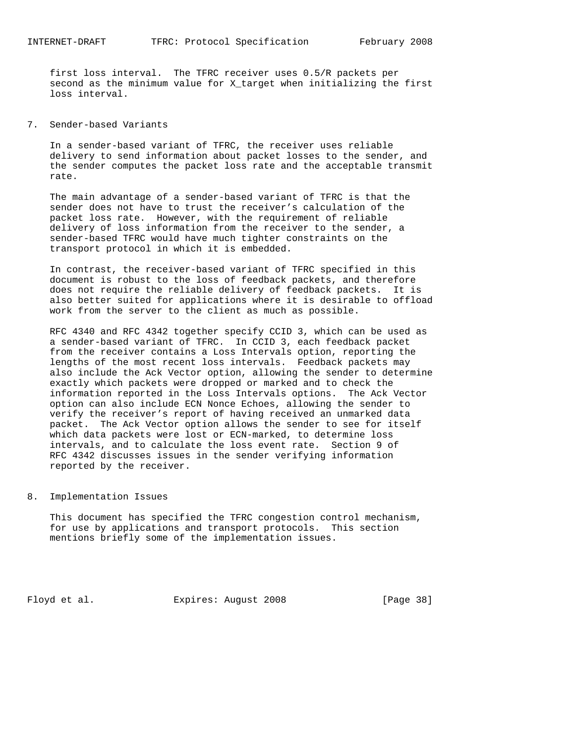first loss interval. The TFRC receiver uses 0.5/R packets per second as the minimum value for X\_target when initializing the first loss interval.

## 7. Sender-based Variants

 In a sender-based variant of TFRC, the receiver uses reliable delivery to send information about packet losses to the sender, and the sender computes the packet loss rate and the acceptable transmit rate.

 The main advantage of a sender-based variant of TFRC is that the sender does not have to trust the receiver's calculation of the packet loss rate. However, with the requirement of reliable delivery of loss information from the receiver to the sender, a sender-based TFRC would have much tighter constraints on the transport protocol in which it is embedded.

 In contrast, the receiver-based variant of TFRC specified in this document is robust to the loss of feedback packets, and therefore does not require the reliable delivery of feedback packets. It is also better suited for applications where it is desirable to offload work from the server to the client as much as possible.

 RFC 4340 and RFC 4342 together specify CCID 3, which can be used as a sender-based variant of TFRC. In CCID 3, each feedback packet from the receiver contains a Loss Intervals option, reporting the lengths of the most recent loss intervals. Feedback packets may also include the Ack Vector option, allowing the sender to determine exactly which packets were dropped or marked and to check the information reported in the Loss Intervals options. The Ack Vector option can also include ECN Nonce Echoes, allowing the sender to verify the receiver's report of having received an unmarked data packet. The Ack Vector option allows the sender to see for itself which data packets were lost or ECN-marked, to determine loss intervals, and to calculate the loss event rate. Section 9 of RFC 4342 discusses issues in the sender verifying information reported by the receiver.

### 8. Implementation Issues

 This document has specified the TFRC congestion control mechanism, for use by applications and transport protocols. This section mentions briefly some of the implementation issues.

Floyd et al. Expires: August 2008 [Page 38]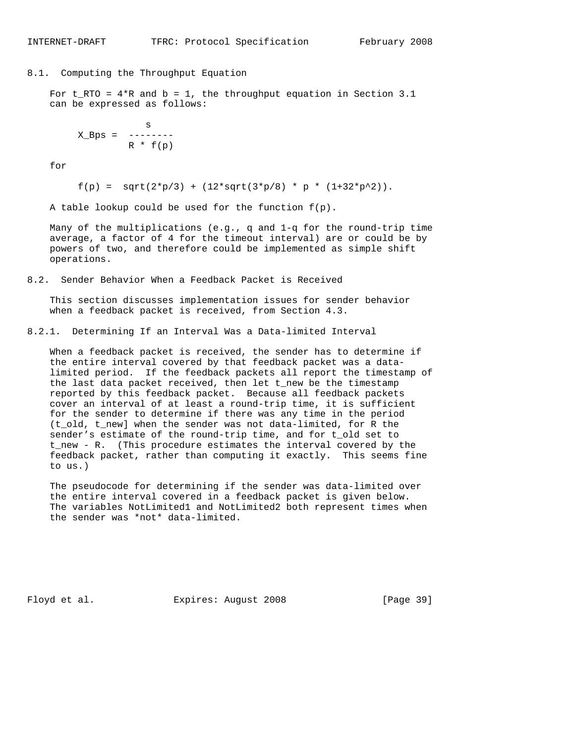## 8.1. Computing the Throughput Equation

For  $t_RTO = 4*R$  and  $b = 1$ , the throughput equation in Section 3.1 can be expressed as follows:

 s  $X_Bps =$  -------- $R * f(p)$ 

for

 $f(p) = sqrt(2*p/3) + (12*sqrt(3*p/8) * p * (1+32*p^2)).$ 

A table lookup could be used for the function  $f(p)$ .

 Many of the multiplications (e.g., q and 1-q for the round-trip time average, a factor of 4 for the timeout interval) are or could be by powers of two, and therefore could be implemented as simple shift operations.

8.2. Sender Behavior When a Feedback Packet is Received

 This section discusses implementation issues for sender behavior when a feedback packet is received, from Section 4.3.

8.2.1. Determining If an Interval Was a Data-limited Interval

 When a feedback packet is received, the sender has to determine if the entire interval covered by that feedback packet was a data limited period. If the feedback packets all report the timestamp of the last data packet received, then let t\_new be the timestamp reported by this feedback packet. Because all feedback packets cover an interval of at least a round-trip time, it is sufficient for the sender to determine if there was any time in the period (t\_old, t\_new] when the sender was not data-limited, for R the sender's estimate of the round-trip time, and for t\_old set to t\_new - R. (This procedure estimates the interval covered by the feedback packet, rather than computing it exactly. This seems fine to us.)

 The pseudocode for determining if the sender was data-limited over the entire interval covered in a feedback packet is given below. The variables NotLimited1 and NotLimited2 both represent times when the sender was \*not\* data-limited.

Floyd et al. **Expires:** August 2008 [Page 39]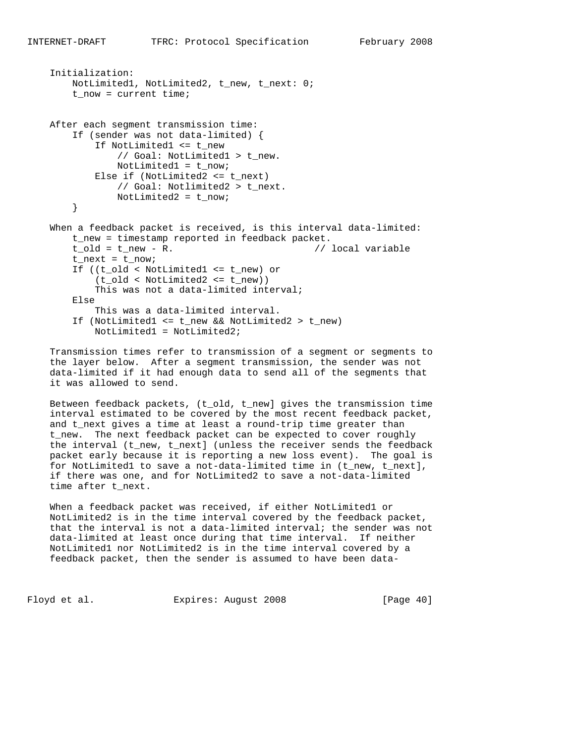```
 Initialization:
    NotLimited1, NotLimited2, t_new, t_next: 0;
    t_now = current time;
After each segment transmission time:
    If (sender was not data-limited) {
        If NotLimited1 <= t_new
             // Goal: NotLimited1 > t_new.
            NotLimited1 = t_now;
        Else if (NotLimited2 <= t_next)
            // Goal: Notlimited2 > t_next.
            NotLimited2 = t_now;
    }
When a feedback packet is received, is this interval data-limited:
   t_new = timestamp reported in feedback packet.<br>t_old = t_new - R. (/ local variable
   t_old = t_new - R.
   t_next = t<sub>_now;</sub>
    If ((t_old < NotLimited1 <= t_new) or
        (t_old < NotLimited2 <= t_new))
        This was not a data-limited interval;
    Else
        This was a data-limited interval.
    If (NotLimited1 <= t_new && NotLimited2 > t_new)
        NotLimited1 = NotLimited2;
```
 Transmission times refer to transmission of a segment or segments to the layer below. After a segment transmission, the sender was not data-limited if it had enough data to send all of the segments that it was allowed to send.

 Between feedback packets, (t\_old, t\_new] gives the transmission time interval estimated to be covered by the most recent feedback packet, and t\_next gives a time at least a round-trip time greater than t\_new. The next feedback packet can be expected to cover roughly the interval (t\_new, t\_next] (unless the receiver sends the feedback packet early because it is reporting a new loss event). The goal is for NotLimited1 to save a not-data-limited time in (t\_new, t\_next], if there was one, and for NotLimited2 to save a not-data-limited time after t\_next.

When a feedback packet was received, if either NotLimited1 or NotLimited2 is in the time interval covered by the feedback packet, that the interval is not a data-limited interval; the sender was not data-limited at least once during that time interval. If neither NotLimited1 nor NotLimited2 is in the time interval covered by a feedback packet, then the sender is assumed to have been data-

Floyd et al. Expires: August 2008 [Page 40]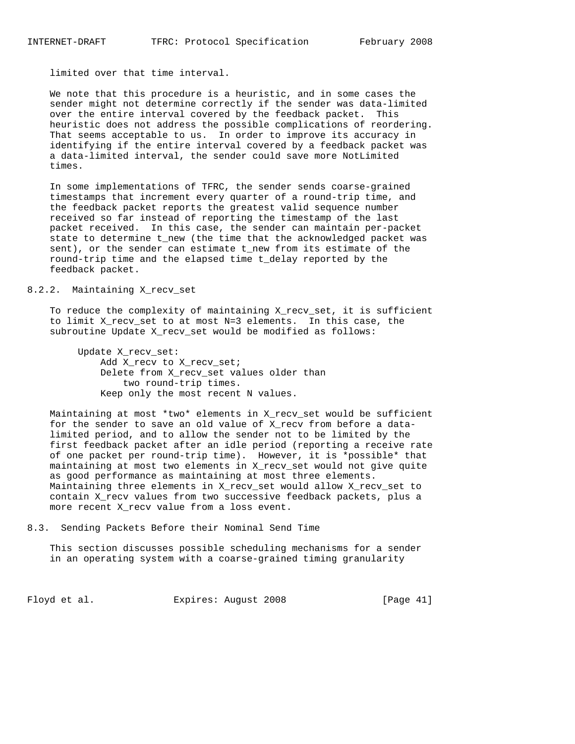limited over that time interval.

 We note that this procedure is a heuristic, and in some cases the sender might not determine correctly if the sender was data-limited over the entire interval covered by the feedback packet. This heuristic does not address the possible complications of reordering. That seems acceptable to us. In order to improve its accuracy in identifying if the entire interval covered by a feedback packet was a data-limited interval, the sender could save more NotLimited times.

 In some implementations of TFRC, the sender sends coarse-grained timestamps that increment every quarter of a round-trip time, and the feedback packet reports the greatest valid sequence number received so far instead of reporting the timestamp of the last packet received. In this case, the sender can maintain per-packet state to determine t\_new (the time that the acknowledged packet was sent), or the sender can estimate t\_new from its estimate of the round-trip time and the elapsed time t\_delay reported by the feedback packet.

## 8.2.2. Maintaining X\_recv\_set

 To reduce the complexity of maintaining X\_recv\_set, it is sufficient to limit X\_recv\_set to at most N=3 elements. In this case, the subroutine Update X\_recv\_set would be modified as follows:

 Update X\_recv\_set: Add X\_recv to X\_recv\_set; Delete from X\_recv\_set values older than two round-trip times. Keep only the most recent N values.

 Maintaining at most \*two\* elements in X\_recv\_set would be sufficient for the sender to save an old value of X\_recv from before a data limited period, and to allow the sender not to be limited by the first feedback packet after an idle period (reporting a receive rate of one packet per round-trip time). However, it is \*possible\* that maintaining at most two elements in X\_recv\_set would not give quite as good performance as maintaining at most three elements. Maintaining three elements in X\_recv\_set would allow X\_recv\_set to contain X\_recv values from two successive feedback packets, plus a more recent X\_recv value from a loss event.

8.3. Sending Packets Before their Nominal Send Time

 This section discusses possible scheduling mechanisms for a sender in an operating system with a coarse-grained timing granularity

Floyd et al. Expires: August 2008 [Page 41]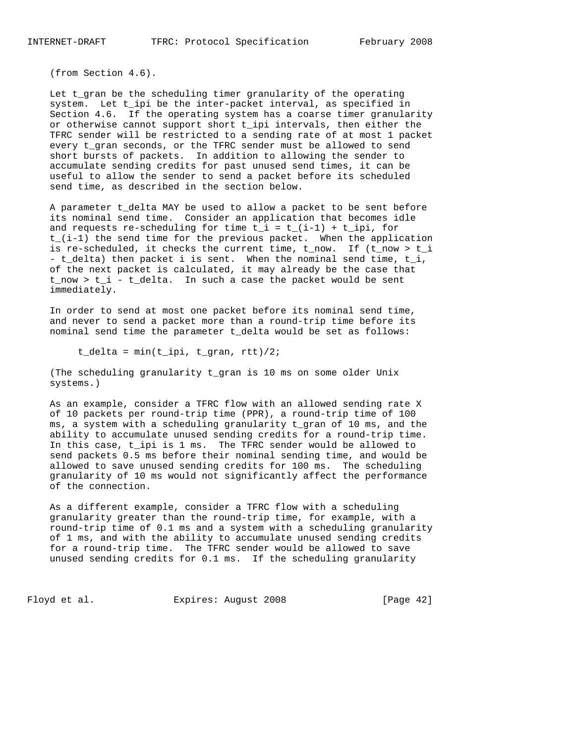(from Section 4.6).

 Let t\_gran be the scheduling timer granularity of the operating system. Let t\_ipi be the inter-packet interval, as specified in Section 4.6. If the operating system has a coarse timer granularity or otherwise cannot support short t\_ipi intervals, then either the TFRC sender will be restricted to a sending rate of at most 1 packet every t\_gran seconds, or the TFRC sender must be allowed to send short bursts of packets. In addition to allowing the sender to accumulate sending credits for past unused send times, it can be useful to allow the sender to send a packet before its scheduled send time, as described in the section below.

 A parameter t\_delta MAY be used to allow a packet to be sent before its nominal send time. Consider an application that becomes idle and requests re-scheduling for time  $t_i = t_i(i-1) + t_i$  for t\_(i-1) the send time for the previous packet. When the application is re-scheduled, it checks the current time, t\_now. If (t\_now > t\_i - t\_delta) then packet i is sent. When the nominal send time, t\_i, of the next packet is calculated, it may already be the case that t\_now > t\_i - t\_delta. In such a case the packet would be sent immediately.

 In order to send at most one packet before its nominal send time, and never to send a packet more than a round-trip time before its nominal send time the parameter t\_delta would be set as follows:

t\_delta = min(t\_ipi, t\_gran, rtt)/2;

 (The scheduling granularity t\_gran is 10 ms on some older Unix systems.)

 As an example, consider a TFRC flow with an allowed sending rate X of 10 packets per round-trip time (PPR), a round-trip time of 100 ms, a system with a scheduling granularity t\_gran of 10 ms, and the ability to accumulate unused sending credits for a round-trip time. In this case, t\_ipi is 1 ms. The TFRC sender would be allowed to send packets 0.5 ms before their nominal sending time, and would be allowed to save unused sending credits for 100 ms. The scheduling granularity of 10 ms would not significantly affect the performance of the connection.

 As a different example, consider a TFRC flow with a scheduling granularity greater than the round-trip time, for example, with a round-trip time of 0.1 ms and a system with a scheduling granularity of 1 ms, and with the ability to accumulate unused sending credits for a round-trip time. The TFRC sender would be allowed to save unused sending credits for 0.1 ms. If the scheduling granularity

Floyd et al. Expires: August 2008 [Page 42]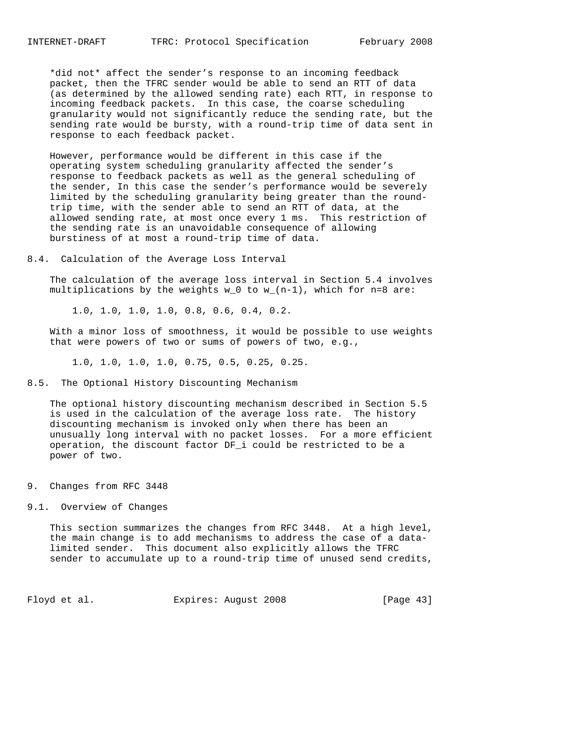\*did not\* affect the sender's response to an incoming feedback packet, then the TFRC sender would be able to send an RTT of data (as determined by the allowed sending rate) each RTT, in response to incoming feedback packets. In this case, the coarse scheduling granularity would not significantly reduce the sending rate, but the sending rate would be bursty, with a round-trip time of data sent in response to each feedback packet.

 However, performance would be different in this case if the operating system scheduling granularity affected the sender's response to feedback packets as well as the general scheduling of the sender, In this case the sender's performance would be severely limited by the scheduling granularity being greater than the round trip time, with the sender able to send an RTT of data, at the allowed sending rate, at most once every 1 ms. This restriction of the sending rate is an unavoidable consequence of allowing burstiness of at most a round-trip time of data.

8.4. Calculation of the Average Loss Interval

 The calculation of the average loss interval in Section 5.4 involves multiplications by the weights  $w_0$  to  $w_-(n-1)$ , which for  $n=8$  are:

1.0, 1.0, 1.0, 1.0, 0.8, 0.6, 0.4, 0.2.

 With a minor loss of smoothness, it would be possible to use weights that were powers of two or sums of powers of two, e.g.,

1.0, 1.0, 1.0, 1.0, 0.75, 0.5, 0.25, 0.25.

### 8.5. The Optional History Discounting Mechanism

 The optional history discounting mechanism described in Section 5.5 is used in the calculation of the average loss rate. The history discounting mechanism is invoked only when there has been an unusually long interval with no packet losses. For a more efficient operation, the discount factor DF\_i could be restricted to be a power of two.

#### 9. Changes from RFC 3448

### 9.1. Overview of Changes

 This section summarizes the changes from RFC 3448. At a high level, the main change is to add mechanisms to address the case of a data limited sender. This document also explicitly allows the TFRC sender to accumulate up to a round-trip time of unused send credits,

Floyd et al. **Expires:** August 2008 [Page 43]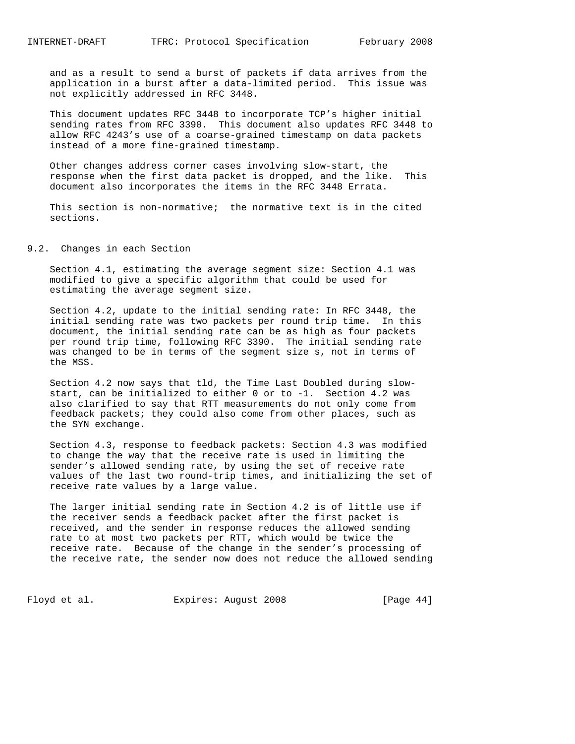and as a result to send a burst of packets if data arrives from the application in a burst after a data-limited period. This issue was not explicitly addressed in RFC 3448.

 This document updates RFC 3448 to incorporate TCP's higher initial sending rates from RFC 3390. This document also updates RFC 3448 to allow RFC 4243's use of a coarse-grained timestamp on data packets instead of a more fine-grained timestamp.

 Other changes address corner cases involving slow-start, the response when the first data packet is dropped, and the like. This document also incorporates the items in the RFC 3448 Errata.

 This section is non-normative; the normative text is in the cited sections.

9.2. Changes in each Section

 Section 4.1, estimating the average segment size: Section 4.1 was modified to give a specific algorithm that could be used for estimating the average segment size.

 Section 4.2, update to the initial sending rate: In RFC 3448, the initial sending rate was two packets per round trip time. In this document, the initial sending rate can be as high as four packets per round trip time, following RFC 3390. The initial sending rate was changed to be in terms of the segment size s, not in terms of the MSS.

 Section 4.2 now says that tld, the Time Last Doubled during slow start, can be initialized to either 0 or to -1. Section 4.2 was also clarified to say that RTT measurements do not only come from feedback packets; they could also come from other places, such as the SYN exchange.

 Section 4.3, response to feedback packets: Section 4.3 was modified to change the way that the receive rate is used in limiting the sender's allowed sending rate, by using the set of receive rate values of the last two round-trip times, and initializing the set of receive rate values by a large value.

 The larger initial sending rate in Section 4.2 is of little use if the receiver sends a feedback packet after the first packet is received, and the sender in response reduces the allowed sending rate to at most two packets per RTT, which would be twice the receive rate. Because of the change in the sender's processing of the receive rate, the sender now does not reduce the allowed sending

Floyd et al. Expires: August 2008 [Page 44]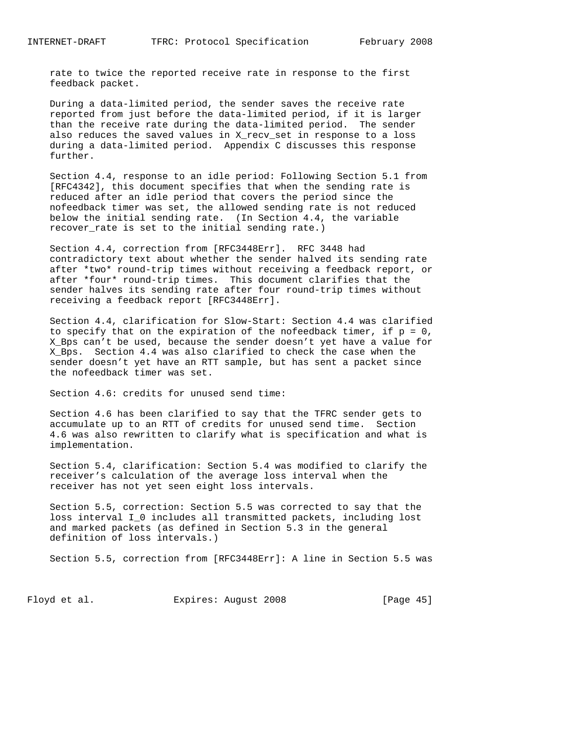rate to twice the reported receive rate in response to the first feedback packet.

 During a data-limited period, the sender saves the receive rate reported from just before the data-limited period, if it is larger than the receive rate during the data-limited period. The sender also reduces the saved values in X\_recv\_set in response to a loss during a data-limited period. Appendix C discusses this response further.

 Section 4.4, response to an idle period: Following Section 5.1 from [RFC4342], this document specifies that when the sending rate is reduced after an idle period that covers the period since the nofeedback timer was set, the allowed sending rate is not reduced below the initial sending rate. (In Section 4.4, the variable recover\_rate is set to the initial sending rate.)

 Section 4.4, correction from [RFC3448Err]. RFC 3448 had contradictory text about whether the sender halved its sending rate after \*two\* round-trip times without receiving a feedback report, or after \*four\* round-trip times. This document clarifies that the sender halves its sending rate after four round-trip times without receiving a feedback report [RFC3448Err].

 Section 4.4, clarification for Slow-Start: Section 4.4 was clarified to specify that on the expiration of the nofeedback timer, if  $p = 0$ , X\_Bps can't be used, because the sender doesn't yet have a value for X\_Bps. Section 4.4 was also clarified to check the case when the sender doesn't yet have an RTT sample, but has sent a packet since the nofeedback timer was set.

Section 4.6: credits for unused send time:

 Section 4.6 has been clarified to say that the TFRC sender gets to accumulate up to an RTT of credits for unused send time. Section 4.6 was also rewritten to clarify what is specification and what is implementation.

 Section 5.4, clarification: Section 5.4 was modified to clarify the receiver's calculation of the average loss interval when the receiver has not yet seen eight loss intervals.

 Section 5.5, correction: Section 5.5 was corrected to say that the loss interval I\_0 includes all transmitted packets, including lost and marked packets (as defined in Section 5.3 in the general definition of loss intervals.)

Section 5.5, correction from [RFC3448Err]: A line in Section 5.5 was

Floyd et al. Expires: August 2008 [Page 45]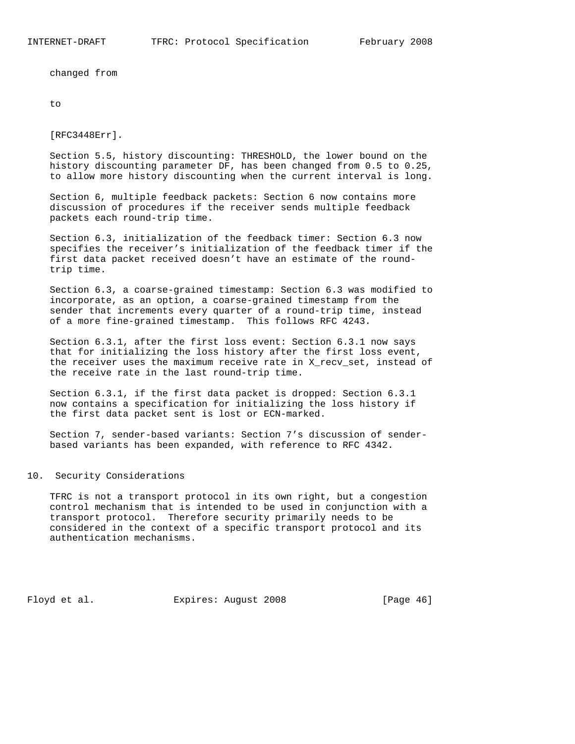changed from

to

[RFC3448Err].

 Section 5.5, history discounting: THRESHOLD, the lower bound on the history discounting parameter DF, has been changed from 0.5 to 0.25, to allow more history discounting when the current interval is long.

 Section 6, multiple feedback packets: Section 6 now contains more discussion of procedures if the receiver sends multiple feedback packets each round-trip time.

 Section 6.3, initialization of the feedback timer: Section 6.3 now specifies the receiver's initialization of the feedback timer if the first data packet received doesn't have an estimate of the round trip time.

 Section 6.3, a coarse-grained timestamp: Section 6.3 was modified to incorporate, as an option, a coarse-grained timestamp from the sender that increments every quarter of a round-trip time, instead of a more fine-grained timestamp. This follows RFC 4243.

 Section 6.3.1, after the first loss event: Section 6.3.1 now says that for initializing the loss history after the first loss event, the receiver uses the maximum receive rate in X\_recv\_set, instead of the receive rate in the last round-trip time.

 Section 6.3.1, if the first data packet is dropped: Section 6.3.1 now contains a specification for initializing the loss history if the first data packet sent is lost or ECN-marked.

 Section 7, sender-based variants: Section 7's discussion of sender based variants has been expanded, with reference to RFC 4342.

### 10. Security Considerations

 TFRC is not a transport protocol in its own right, but a congestion control mechanism that is intended to be used in conjunction with a transport protocol. Therefore security primarily needs to be considered in the context of a specific transport protocol and its authentication mechanisms.

Floyd et al. **Expires:** August 2008 [Page 46]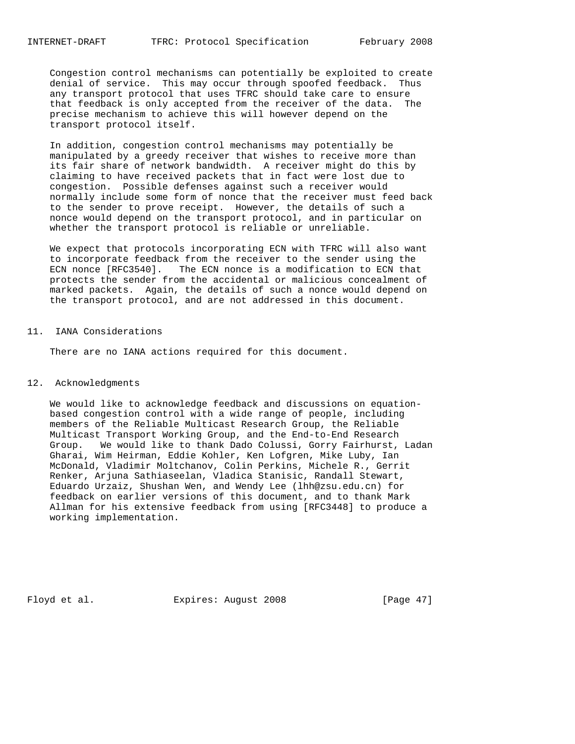Congestion control mechanisms can potentially be exploited to create denial of service. This may occur through spoofed feedback. Thus any transport protocol that uses TFRC should take care to ensure that feedback is only accepted from the receiver of the data. The precise mechanism to achieve this will however depend on the transport protocol itself.

 In addition, congestion control mechanisms may potentially be manipulated by a greedy receiver that wishes to receive more than its fair share of network bandwidth. A receiver might do this by claiming to have received packets that in fact were lost due to congestion. Possible defenses against such a receiver would normally include some form of nonce that the receiver must feed back to the sender to prove receipt. However, the details of such a nonce would depend on the transport protocol, and in particular on whether the transport protocol is reliable or unreliable.

 We expect that protocols incorporating ECN with TFRC will also want to incorporate feedback from the receiver to the sender using the ECN nonce [RFC3540]. The ECN nonce is a modification to ECN that protects the sender from the accidental or malicious concealment of marked packets. Again, the details of such a nonce would depend on the transport protocol, and are not addressed in this document.

## 11. IANA Considerations

There are no IANA actions required for this document.

### 12. Acknowledgments

 We would like to acknowledge feedback and discussions on equation based congestion control with a wide range of people, including members of the Reliable Multicast Research Group, the Reliable Multicast Transport Working Group, and the End-to-End Research Group. We would like to thank Dado Colussi, Gorry Fairhurst, Ladan Gharai, Wim Heirman, Eddie Kohler, Ken Lofgren, Mike Luby, Ian McDonald, Vladimir Moltchanov, Colin Perkins, Michele R., Gerrit Renker, Arjuna Sathiaseelan, Vladica Stanisic, Randall Stewart, Eduardo Urzaiz, Shushan Wen, and Wendy Lee (lhh@zsu.edu.cn) for feedback on earlier versions of this document, and to thank Mark Allman for his extensive feedback from using [RFC3448] to produce a working implementation.

Floyd et al. **Expires:** August 2008 [Page 47]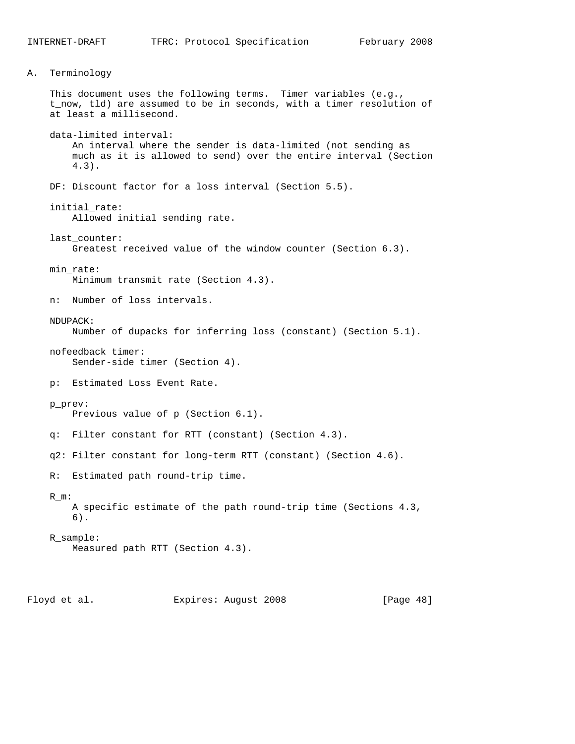A. Terminology This document uses the following terms. Timer variables (e.g., t\_now, tld) are assumed to be in seconds, with a timer resolution of at least a millisecond. data-limited interval: An interval where the sender is data-limited (not sending as much as it is allowed to send) over the entire interval (Section 4.3). DF: Discount factor for a loss interval (Section 5.5). initial\_rate: Allowed initial sending rate. last\_counter: Greatest received value of the window counter (Section 6.3). min\_rate: Minimum transmit rate (Section 4.3). n: Number of loss intervals. NDUPACK: Number of dupacks for inferring loss (constant) (Section 5.1). nofeedback timer: Sender-side timer (Section 4). p: Estimated Loss Event Rate. p\_prev: Previous value of p (Section 6.1). q: Filter constant for RTT (constant) (Section 4.3). q2: Filter constant for long-term RTT (constant) (Section 4.6). R: Estimated path round-trip time. R\_m: A specific estimate of the path round-trip time (Sections 4.3, 6). R\_sample: Measured path RTT (Section 4.3). Floyd et al. **Expires:** August 2008 [Page 48]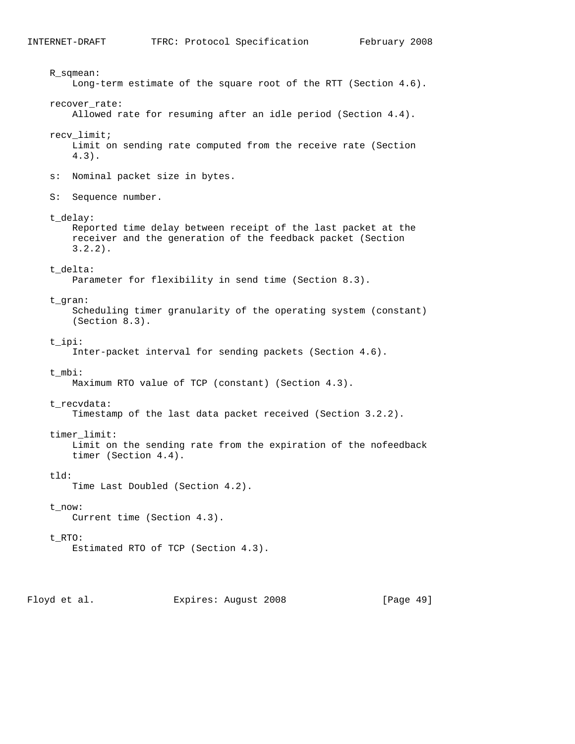R\_sqmean: Long-term estimate of the square root of the RTT (Section 4.6). recover\_rate: Allowed rate for resuming after an idle period (Section 4.4). recv\_limit; Limit on sending rate computed from the receive rate (Section 4.3). s: Nominal packet size in bytes. S: Sequence number. t\_delay: Reported time delay between receipt of the last packet at the receiver and the generation of the feedback packet (Section 3.2.2). t\_delta: Parameter for flexibility in send time (Section 8.3). t\_gran: Scheduling timer granularity of the operating system (constant) (Section 8.3). t\_ipi: Inter-packet interval for sending packets (Section 4.6). t\_mbi: Maximum RTO value of TCP (constant) (Section 4.3). t\_recvdata: Timestamp of the last data packet received (Section 3.2.2). timer\_limit: Limit on the sending rate from the expiration of the nofeedback timer (Section 4.4). tld: Time Last Doubled (Section 4.2). t\_now: Current time (Section 4.3). t\_RTO: Estimated RTO of TCP (Section 4.3).

Floyd et al. Expires: August 2008 [Page 49]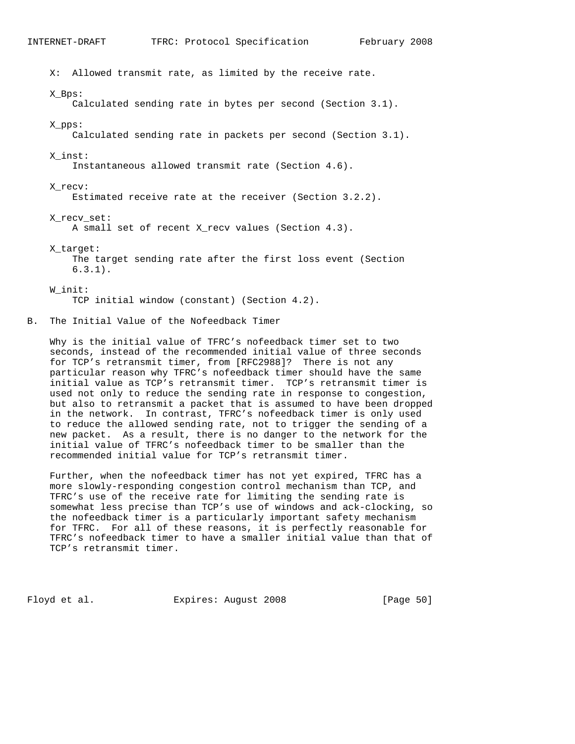X: Allowed transmit rate, as limited by the receive rate. X\_Bps: Calculated sending rate in bytes per second (Section 3.1). X\_pps: Calculated sending rate in packets per second (Section 3.1). X\_inst: Instantaneous allowed transmit rate (Section 4.6). X\_recv: Estimated receive rate at the receiver (Section 3.2.2). X\_recv\_set: A small set of recent X\_recv values (Section 4.3). X\_target: The target sending rate after the first loss event (Section 6.3.1). W\_init:

TCP initial window (constant) (Section 4.2).

B. The Initial Value of the Nofeedback Timer

 Why is the initial value of TFRC's nofeedback timer set to two seconds, instead of the recommended initial value of three seconds for TCP's retransmit timer, from [RFC2988]? There is not any particular reason why TFRC's nofeedback timer should have the same initial value as TCP's retransmit timer. TCP's retransmit timer is used not only to reduce the sending rate in response to congestion, but also to retransmit a packet that is assumed to have been dropped in the network. In contrast, TFRC's nofeedback timer is only used to reduce the allowed sending rate, not to trigger the sending of a new packet. As a result, there is no danger to the network for the initial value of TFRC's nofeedback timer to be smaller than the recommended initial value for TCP's retransmit timer.

 Further, when the nofeedback timer has not yet expired, TFRC has a more slowly-responding congestion control mechanism than TCP, and TFRC's use of the receive rate for limiting the sending rate is somewhat less precise than TCP's use of windows and ack-clocking, so the nofeedback timer is a particularly important safety mechanism for TFRC. For all of these reasons, it is perfectly reasonable for TFRC's nofeedback timer to have a smaller initial value than that of TCP's retransmit timer.

Floyd et al. Expires: August 2008 [Page 50]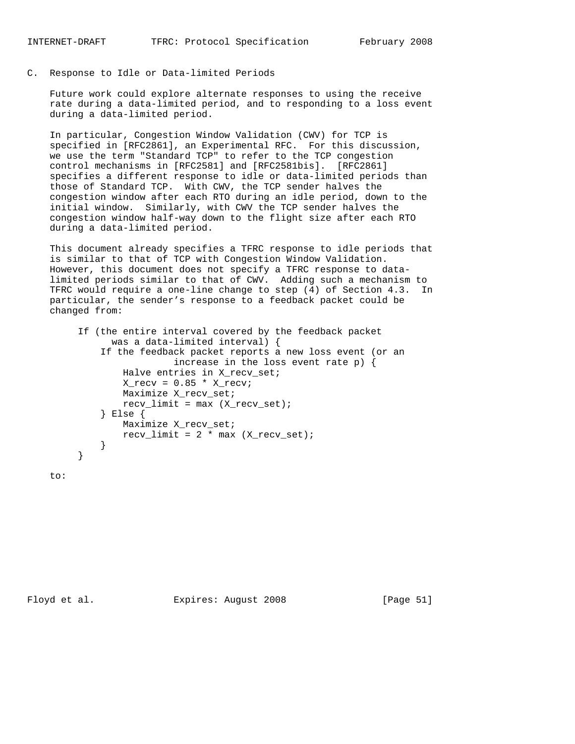C. Response to Idle or Data-limited Periods

 Future work could explore alternate responses to using the receive rate during a data-limited period, and to responding to a loss event during a data-limited period.

 In particular, Congestion Window Validation (CWV) for TCP is specified in [RFC2861], an Experimental RFC. For this discussion, we use the term "Standard TCP" to refer to the TCP congestion control mechanisms in [RFC2581] and [RFC2581bis]. [RFC2861] specifies a different response to idle or data-limited periods than those of Standard TCP. With CWV, the TCP sender halves the congestion window after each RTO during an idle period, down to the initial window. Similarly, with CWV the TCP sender halves the congestion window half-way down to the flight size after each RTO during a data-limited period.

 This document already specifies a TFRC response to idle periods that is similar to that of TCP with Congestion Window Validation. However, this document does not specify a TFRC response to data limited periods similar to that of CWV. Adding such a mechanism to TFRC would require a one-line change to step (4) of Section 4.3. In particular, the sender's response to a feedback packet could be changed from:

```
 If (the entire interval covered by the feedback packet
              was a data-limited interval) {
            If the feedback packet reports a new loss event (or an
                         increase in the loss event rate p) {
                Halve entries in X_recv_set;
               X_{recv} = 0.85 * X_{recvi} Maximize X_recv_set;
               recv_limit = max (X_recv_set); } Else {
               Maximize X_recv_set;
               recv_limit = 2 * max (X-recv_set); }
}
```
to: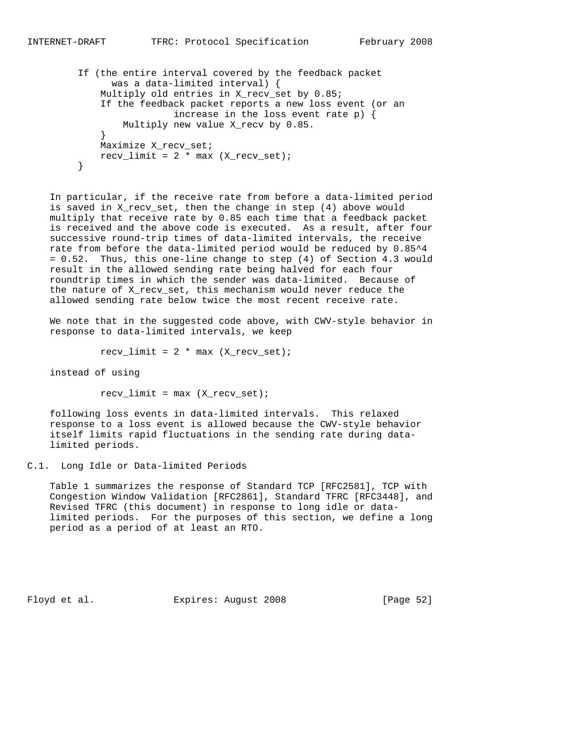```
 If (the entire interval covered by the feedback packet
              was a data-limited interval) {
            Multiply old entries in X_recv_set by 0.85;
            If the feedback packet reports a new loss event (or an
                         increase in the loss event rate p) {
                Multiply new value X_recv by 0.85.
}
            Maximize X_recv_set;
           recv_limit = 2 * max (X-recv_set); }
```
 In particular, if the receive rate from before a data-limited period is saved in X\_recv\_set, then the change in step (4) above would multiply that receive rate by 0.85 each time that a feedback packet is received and the above code is executed. As a result, after four successive round-trip times of data-limited intervals, the receive rate from before the data-limited period would be reduced by 0.85^4 = 0.52. Thus, this one-line change to step (4) of Section 4.3 would result in the allowed sending rate being halved for each four roundtrip times in which the sender was data-limited. Because of the nature of X\_recv\_set, this mechanism would never reduce the allowed sending rate below twice the most recent receive rate.

 We note that in the suggested code above, with CWV-style behavior in response to data-limited intervals, we keep

 $recv_limit = 2 * max (X_recv_set);$ 

instead of using

 $recv_limit = max (X_recv_set);$ 

 following loss events in data-limited intervals. This relaxed response to a loss event is allowed because the CWV-style behavior itself limits rapid fluctuations in the sending rate during data limited periods.

C.1. Long Idle or Data-limited Periods

 Table 1 summarizes the response of Standard TCP [RFC2581], TCP with Congestion Window Validation [RFC2861], Standard TFRC [RFC3448], and Revised TFRC (this document) in response to long idle or data limited periods. For the purposes of this section, we define a long period as a period of at least an RTO.

Floyd et al. Expires: August 2008 [Page 52]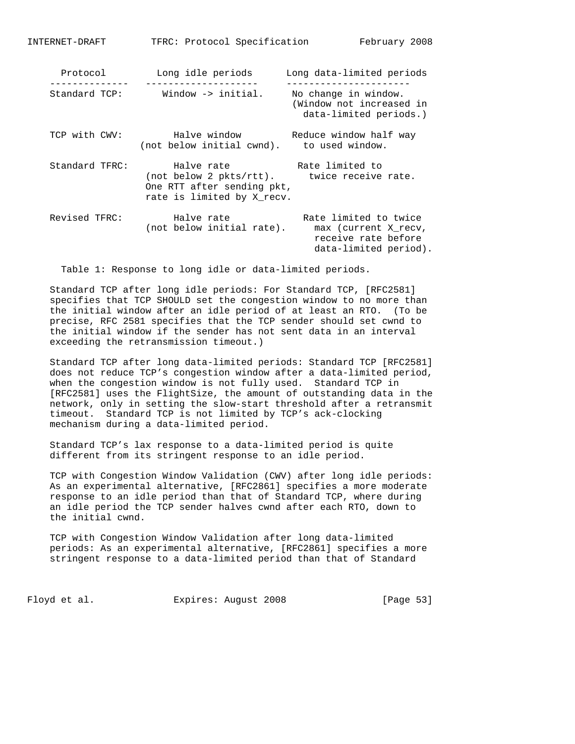| Protocol       | Long idle periods                                                                                                     | Long data-limited periods                                                                     |
|----------------|-----------------------------------------------------------------------------------------------------------------------|-----------------------------------------------------------------------------------------------|
| Standard TCP:  | Window -> initial.                                                                                                    | No change in window.<br>(Window not increased in<br>data-limited periods.)                    |
| TCP with CWV:  | Halve window<br>(not below initial cwnd).                                                                             | Reduce window half way<br>to used window.                                                     |
| Standard TFRC: | Halve rate<br>(not below 2 pkts/rtt). twice receive rate.<br>One RTT after sending pkt,<br>rate is limited by X recv. | Rate limited to                                                                               |
| Revised TFRC:  | Halve rate<br>(not below initial rate).                                                                               | Rate limited to twice<br>max (current X recv,<br>receive rate before<br>data-limited period). |

Table 1: Response to long idle or data-limited periods.

 Standard TCP after long idle periods: For Standard TCP, [RFC2581] specifies that TCP SHOULD set the congestion window to no more than the initial window after an idle period of at least an RTO. (To be precise, RFC 2581 specifies that the TCP sender should set cwnd to the initial window if the sender has not sent data in an interval exceeding the retransmission timeout.)

 Standard TCP after long data-limited periods: Standard TCP [RFC2581] does not reduce TCP's congestion window after a data-limited period, when the congestion window is not fully used. Standard TCP in [RFC2581] uses the FlightSize, the amount of outstanding data in the network, only in setting the slow-start threshold after a retransmit timeout. Standard TCP is not limited by TCP's ack-clocking mechanism during a data-limited period.

 Standard TCP's lax response to a data-limited period is quite different from its stringent response to an idle period.

 TCP with Congestion Window Validation (CWV) after long idle periods: As an experimental alternative, [RFC2861] specifies a more moderate response to an idle period than that of Standard TCP, where during an idle period the TCP sender halves cwnd after each RTO, down to the initial cwnd.

 TCP with Congestion Window Validation after long data-limited periods: As an experimental alternative, [RFC2861] specifies a more stringent response to a data-limited period than that of Standard

Floyd et al. Expires: August 2008 [Page 53]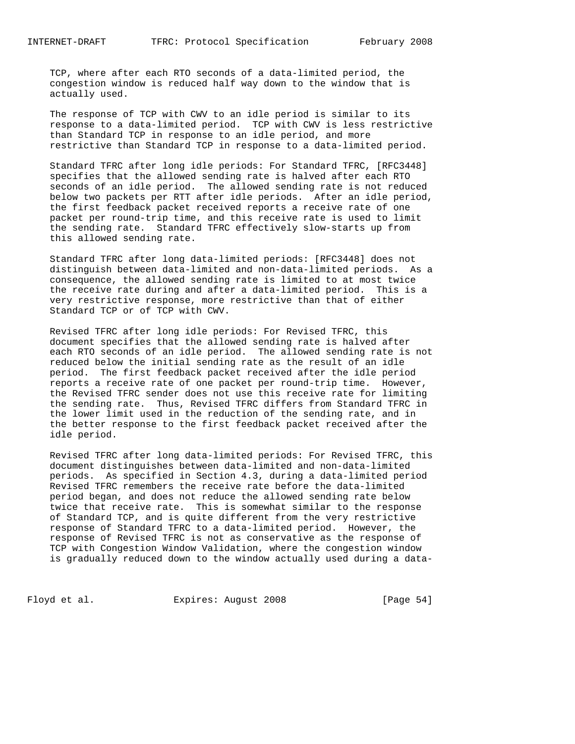TCP, where after each RTO seconds of a data-limited period, the congestion window is reduced half way down to the window that is actually used.

 The response of TCP with CWV to an idle period is similar to its response to a data-limited period. TCP with CWV is less restrictive than Standard TCP in response to an idle period, and more restrictive than Standard TCP in response to a data-limited period.

 Standard TFRC after long idle periods: For Standard TFRC, [RFC3448] specifies that the allowed sending rate is halved after each RTO seconds of an idle period. The allowed sending rate is not reduced below two packets per RTT after idle periods. After an idle period, the first feedback packet received reports a receive rate of one packet per round-trip time, and this receive rate is used to limit the sending rate. Standard TFRC effectively slow-starts up from this allowed sending rate.

 Standard TFRC after long data-limited periods: [RFC3448] does not distinguish between data-limited and non-data-limited periods. As a consequence, the allowed sending rate is limited to at most twice the receive rate during and after a data-limited period. This is a very restrictive response, more restrictive than that of either Standard TCP or of TCP with CWV.

 Revised TFRC after long idle periods: For Revised TFRC, this document specifies that the allowed sending rate is halved after each RTO seconds of an idle period. The allowed sending rate is not reduced below the initial sending rate as the result of an idle period. The first feedback packet received after the idle period reports a receive rate of one packet per round-trip time. However, the Revised TFRC sender does not use this receive rate for limiting the sending rate. Thus, Revised TFRC differs from Standard TFRC in the lower limit used in the reduction of the sending rate, and in the better response to the first feedback packet received after the idle period.

 Revised TFRC after long data-limited periods: For Revised TFRC, this document distinguishes between data-limited and non-data-limited periods. As specified in Section 4.3, during a data-limited period Revised TFRC remembers the receive rate before the data-limited period began, and does not reduce the allowed sending rate below twice that receive rate. This is somewhat similar to the response of Standard TCP, and is quite different from the very restrictive response of Standard TFRC to a data-limited period. However, the response of Revised TFRC is not as conservative as the response of TCP with Congestion Window Validation, where the congestion window is gradually reduced down to the window actually used during a data-

Floyd et al. Expires: August 2008 [Page 54]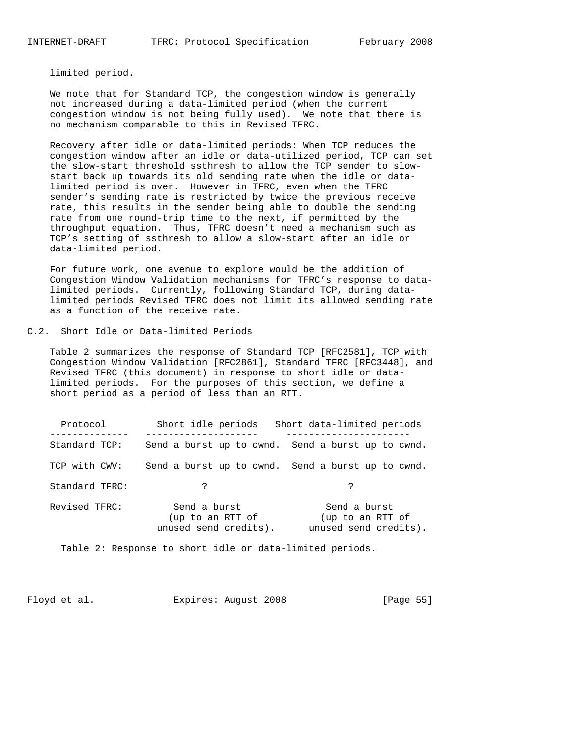limited period.

 We note that for Standard TCP, the congestion window is generally not increased during a data-limited period (when the current congestion window is not being fully used). We note that there is no mechanism comparable to this in Revised TFRC.

 Recovery after idle or data-limited periods: When TCP reduces the congestion window after an idle or data-utilized period, TCP can set the slow-start threshold ssthresh to allow the TCP sender to slow start back up towards its old sending rate when the idle or data limited period is over. However in TFRC, even when the TFRC sender's sending rate is restricted by twice the previous receive rate, this results in the sender being able to double the sending rate from one round-trip time to the next, if permitted by the throughput equation. Thus, TFRC doesn't need a mechanism such as TCP's setting of ssthresh to allow a slow-start after an idle or data-limited period.

 For future work, one avenue to explore would be the addition of Congestion Window Validation mechanisms for TFRC's response to data limited periods. Currently, following Standard TCP, during data limited periods Revised TFRC does not limit its allowed sending rate as a function of the receive rate.

C.2. Short Idle or Data-limited Periods

 Table 2 summarizes the response of Standard TCP [RFC2581], TCP with Congestion Window Validation [RFC2861], Standard TFRC [RFC3448], and Revised TFRC (this document) in response to short idle or data limited periods. For the purposes of this section, we define a short period as a period of less than an RTT.

| Protocol       | Short idle periods                                        | Short data-limited periods                                |  |  |
|----------------|-----------------------------------------------------------|-----------------------------------------------------------|--|--|
| Standard TCP:  |                                                           | Send a burst up to cwnd. Send a burst up to cwnd.         |  |  |
| TCP with CWV:  |                                                           | Send a burst up to cwnd. Send a burst up to cwnd.         |  |  |
| Standard TFRC: | ?                                                         | ?                                                         |  |  |
| Revised TFRC:  | Send a burst<br>(up to an RTT of<br>unused send credits). | Send a burst<br>(up to an RTT of<br>unused send credits). |  |  |

Table 2: Response to short idle or data-limited periods.

Floyd et al. Expires: August 2008 [Page 55]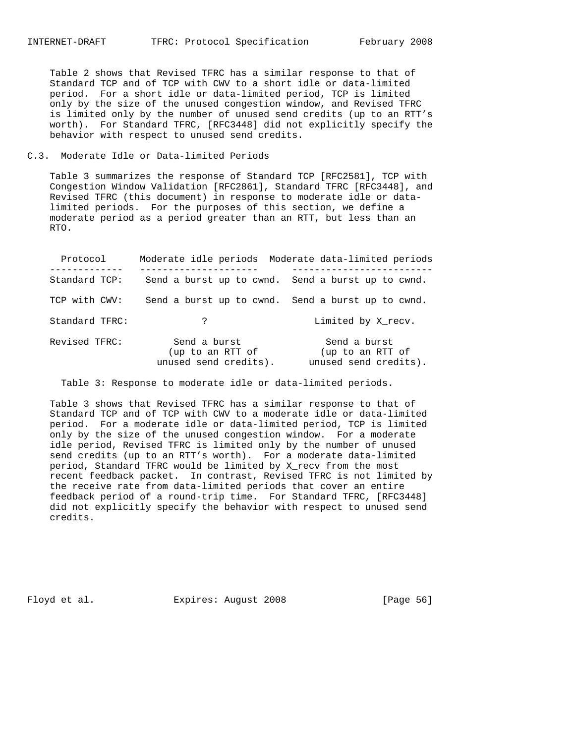Table 2 shows that Revised TFRC has a similar response to that of Standard TCP and of TCP with CWV to a short idle or data-limited period. For a short idle or data-limited period, TCP is limited only by the size of the unused congestion window, and Revised TFRC is limited only by the number of unused send credits (up to an RTT's worth). For Standard TFRC, [RFC3448] did not explicitly specify the behavior with respect to unused send credits.

### C.3. Moderate Idle or Data-limited Periods

 Table 3 summarizes the response of Standard TCP [RFC2581], TCP with Congestion Window Validation [RFC2861], Standard TFRC [RFC3448], and Revised TFRC (this document) in response to moderate idle or data limited periods. For the purposes of this section, we define a moderate period as a period greater than an RTT, but less than an RTO.

| Protocol       |                                                           | Moderate idle periods Moderate data-limited periods       |
|----------------|-----------------------------------------------------------|-----------------------------------------------------------|
| Standard TCP:  |                                                           | Send a burst up to cwnd. Send a burst up to cwnd.         |
| TCP with CWV:  |                                                           | Send a burst up to cwnd. Send a burst up to cwnd.         |
| Standard TFRC: | ?                                                         | Limited by X recv.                                        |
| Revised TFRC:  | Send a burst<br>(up to an RTT of<br>unused send credits). | Send a burst<br>(up to an RTT of<br>unused send credits). |

Table 3: Response to moderate idle or data-limited periods.

 Table 3 shows that Revised TFRC has a similar response to that of Standard TCP and of TCP with CWV to a moderate idle or data-limited period. For a moderate idle or data-limited period, TCP is limited only by the size of the unused congestion window. For a moderate idle period, Revised TFRC is limited only by the number of unused send credits (up to an RTT's worth). For a moderate data-limited period, Standard TFRC would be limited by X\_recv from the most recent feedback packet. In contrast, Revised TFRC is not limited by the receive rate from data-limited periods that cover an entire feedback period of a round-trip time. For Standard TFRC, [RFC3448] did not explicitly specify the behavior with respect to unused send credits.

Floyd et al. **Expires:** August 2008 [Page 56]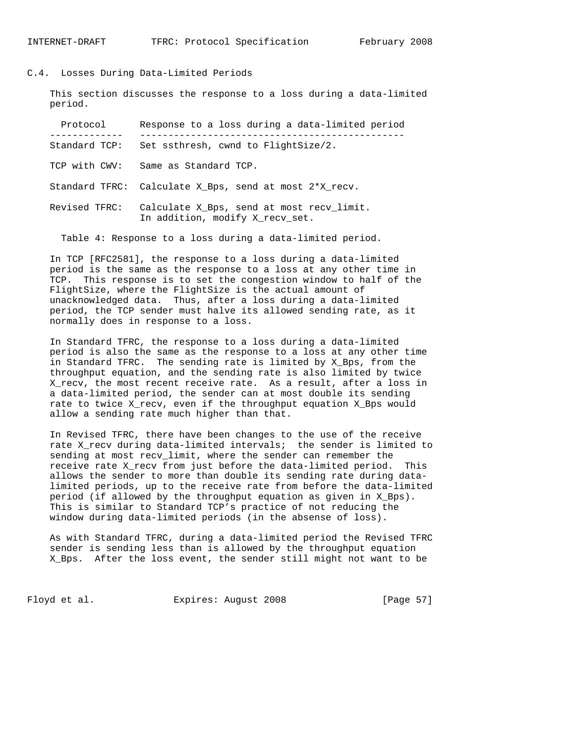### C.4. Losses During Data-Limited Periods

 This section discusses the response to a loss during a data-limited period.

| Protocol      | Response to a loss during a data-limited period                              |
|---------------|------------------------------------------------------------------------------|
| Standard TCP: | Set ssthresh, cwnd to FlightSize/2.                                          |
| TCP with CWV: | Same as Standard TCP.                                                        |
|               | Standard TFRC: Calculate X_Bps, send at most 2*X_recv.                       |
| Revised TFRC: | Calculate X Bps, send at most recy limit.<br>In addition, modify X_recv_set. |

Table 4: Response to a loss during a data-limited period.

 In TCP [RFC2581], the response to a loss during a data-limited period is the same as the response to a loss at any other time in TCP. This response is to set the congestion window to half of the FlightSize, where the FlightSize is the actual amount of unacknowledged data. Thus, after a loss during a data-limited period, the TCP sender must halve its allowed sending rate, as it normally does in response to a loss.

 In Standard TFRC, the response to a loss during a data-limited period is also the same as the response to a loss at any other time in Standard TFRC. The sending rate is limited by X\_Bps, from the throughput equation, and the sending rate is also limited by twice X\_recv, the most recent receive rate. As a result, after a loss in a data-limited period, the sender can at most double its sending rate to twice X\_recv, even if the throughput equation X\_Bps would allow a sending rate much higher than that.

 In Revised TFRC, there have been changes to the use of the receive rate X\_recv during data-limited intervals; the sender is limited to sending at most recv\_limit, where the sender can remember the receive rate X\_recv from just before the data-limited period. This allows the sender to more than double its sending rate during data limited periods, up to the receive rate from before the data-limited period (if allowed by the throughput equation as given in X\_Bps). This is similar to Standard TCP's practice of not reducing the window during data-limited periods (in the absense of loss).

 As with Standard TFRC, during a data-limited period the Revised TFRC sender is sending less than is allowed by the throughput equation X\_Bps. After the loss event, the sender still might not want to be

Floyd et al. **Expires:** August 2008 [Page 57]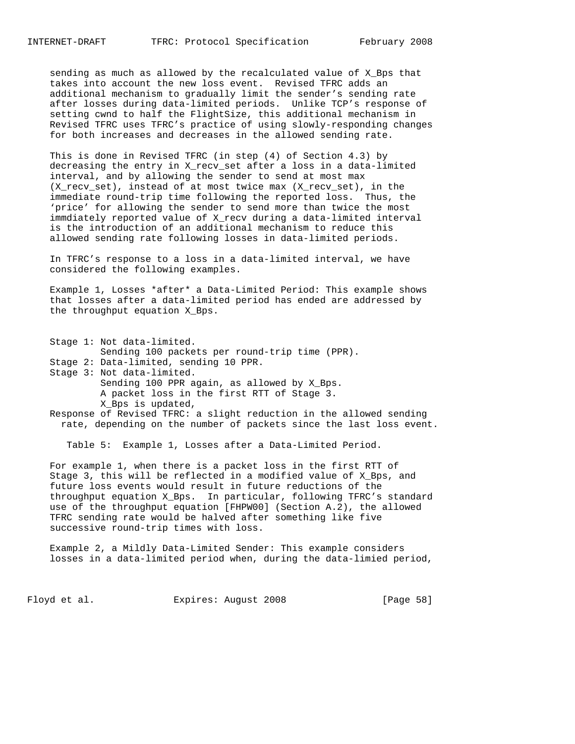sending as much as allowed by the recalculated value of X\_Bps that takes into account the new loss event. Revised TFRC adds an additional mechanism to gradually limit the sender's sending rate after losses during data-limited periods. Unlike TCP's response of setting cwnd to half the FlightSize, this additional mechanism in Revised TFRC uses TFRC's practice of using slowly-responding changes for both increases and decreases in the allowed sending rate.

 This is done in Revised TFRC (in step (4) of Section 4.3) by decreasing the entry in X\_recv\_set after a loss in a data-limited interval, and by allowing the sender to send at most max (X\_recv\_set), instead of at most twice max (X\_recv\_set), in the immediate round-trip time following the reported loss. Thus, the 'price' for allowing the sender to send more than twice the most immdiately reported value of X\_recv during a data-limited interval is the introduction of an additional mechanism to reduce this allowed sending rate following losses in data-limited periods.

 In TFRC's response to a loss in a data-limited interval, we have considered the following examples.

 Example 1, Losses \*after\* a Data-Limited Period: This example shows that losses after a data-limited period has ended are addressed by the throughput equation X\_Bps.

 Stage 1: Not data-limited. Sending 100 packets per round-trip time (PPR). Stage 2: Data-limited, sending 10 PPR. Stage 3: Not data-limited. Sending 100 PPR again, as allowed by X\_Bps. A packet loss in the first RTT of Stage 3. X\_Bps is updated,

 Response of Revised TFRC: a slight reduction in the allowed sending rate, depending on the number of packets since the last loss event.

Table 5: Example 1, Losses after a Data-Limited Period.

 For example 1, when there is a packet loss in the first RTT of Stage 3, this will be reflected in a modified value of X\_Bps, and future loss events would result in future reductions of the throughput equation X\_Bps. In particular, following TFRC's standard use of the throughput equation [FHPW00] (Section A.2), the allowed TFRC sending rate would be halved after something like five successive round-trip times with loss.

 Example 2, a Mildly Data-Limited Sender: This example considers losses in a data-limited period when, during the data-limied period,

Floyd et al. Expires: August 2008 [Page 58]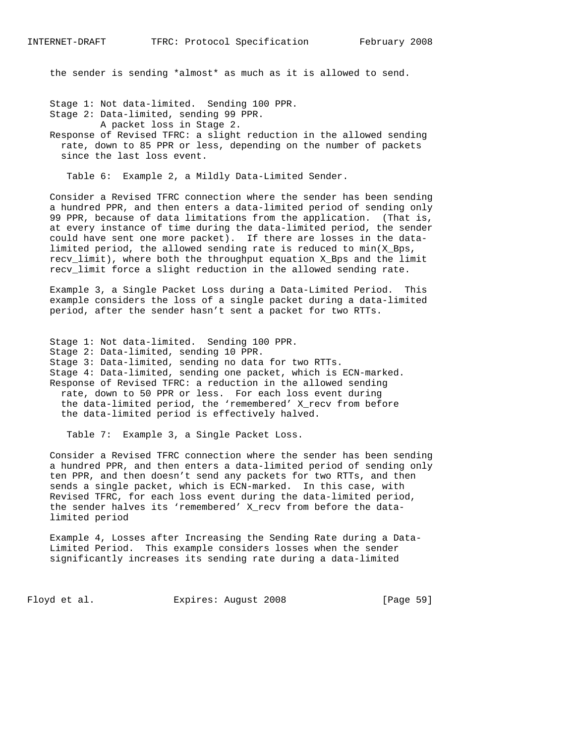the sender is sending \*almost\* as much as it is allowed to send.

Stage 1: Not data-limited. Sending 100 PPR.

Stage 2: Data-limited, sending 99 PPR.

A packet loss in Stage 2.

 Response of Revised TFRC: a slight reduction in the allowed sending rate, down to 85 PPR or less, depending on the number of packets since the last loss event.

Table 6: Example 2, a Mildly Data-Limited Sender.

 Consider a Revised TFRC connection where the sender has been sending a hundred PPR, and then enters a data-limited period of sending only 99 PPR, because of data limitations from the application. (That is, at every instance of time during the data-limited period, the sender could have sent one more packet). If there are losses in the data limited period, the allowed sending rate is reduced to  $min(X_Bps,$  recv\_limit), where both the throughput equation X\_Bps and the limit recv\_limit force a slight reduction in the allowed sending rate.

 Example 3, a Single Packet Loss during a Data-Limited Period. This example considers the loss of a single packet during a data-limited period, after the sender hasn't sent a packet for two RTTs.

 Stage 1: Not data-limited. Sending 100 PPR. Stage 2: Data-limited, sending 10 PPR. Stage 3: Data-limited, sending no data for two RTTs. Stage 4: Data-limited, sending one packet, which is ECN-marked. Response of Revised TFRC: a reduction in the allowed sending rate, down to 50 PPR or less. For each loss event during the data-limited period, the 'remembered' X\_recv from before the data-limited period is effectively halved.

Table 7: Example 3, a Single Packet Loss.

 Consider a Revised TFRC connection where the sender has been sending a hundred PPR, and then enters a data-limited period of sending only ten PPR, and then doesn't send any packets for two RTTs, and then sends a single packet, which is ECN-marked. In this case, with Revised TFRC, for each loss event during the data-limited period, the sender halves its 'remembered' X\_recv from before the data limited period

 Example 4, Losses after Increasing the Sending Rate during a Data- Limited Period. This example considers losses when the sender significantly increases its sending rate during a data-limited

Floyd et al. Expires: August 2008 [Page 59]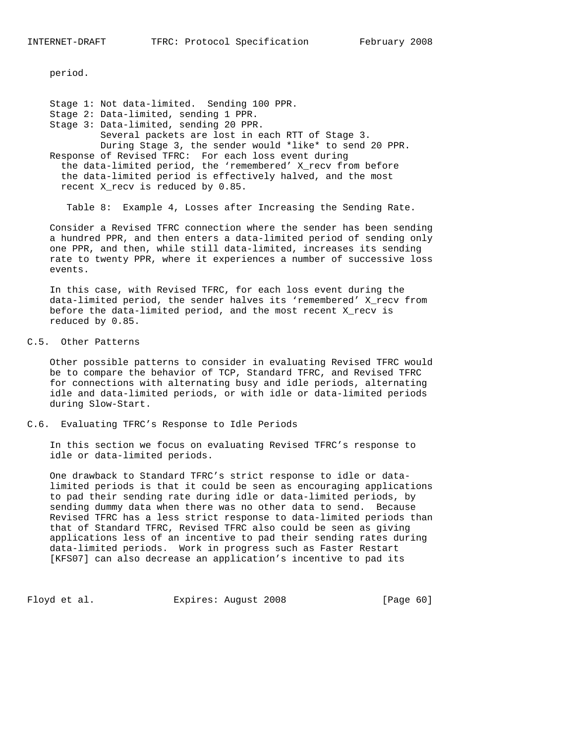period.

 Stage 1: Not data-limited. Sending 100 PPR. Stage 2: Data-limited, sending 1 PPR. Stage 3: Data-limited, sending 20 PPR. Several packets are lost in each RTT of Stage 3. During Stage 3, the sender would \*like\* to send 20 PPR. Response of Revised TFRC: For each loss event during the data-limited period, the 'remembered' X\_recv from before the data-limited period is effectively halved, and the most recent X\_recv is reduced by 0.85.

Table 8: Example 4, Losses after Increasing the Sending Rate.

 Consider a Revised TFRC connection where the sender has been sending a hundred PPR, and then enters a data-limited period of sending only one PPR, and then, while still data-limited, increases its sending rate to twenty PPR, where it experiences a number of successive loss events.

 In this case, with Revised TFRC, for each loss event during the data-limited period, the sender halves its 'remembered' X\_recv from before the data-limited period, and the most recent X\_recv is reduced by 0.85.

### C.5. Other Patterns

 Other possible patterns to consider in evaluating Revised TFRC would be to compare the behavior of TCP, Standard TFRC, and Revised TFRC for connections with alternating busy and idle periods, alternating idle and data-limited periods, or with idle or data-limited periods during Slow-Start.

C.6. Evaluating TFRC's Response to Idle Periods

 In this section we focus on evaluating Revised TFRC's response to idle or data-limited periods.

 One drawback to Standard TFRC's strict response to idle or data limited periods is that it could be seen as encouraging applications to pad their sending rate during idle or data-limited periods, by sending dummy data when there was no other data to send. Because Revised TFRC has a less strict response to data-limited periods than that of Standard TFRC, Revised TFRC also could be seen as giving applications less of an incentive to pad their sending rates during data-limited periods. Work in progress such as Faster Restart [KFS07] can also decrease an application's incentive to pad its

Floyd et al. Expires: August 2008 [Page 60]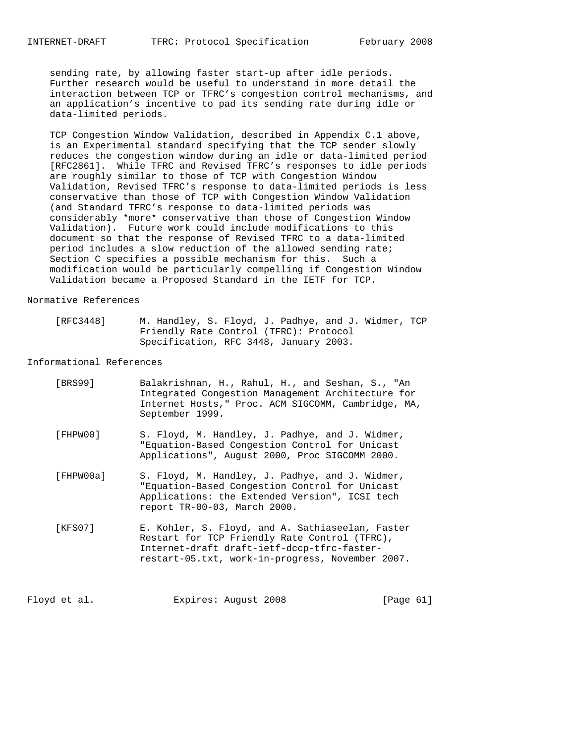sending rate, by allowing faster start-up after idle periods. Further research would be useful to understand in more detail the interaction between TCP or TFRC's congestion control mechanisms, and an application's incentive to pad its sending rate during idle or data-limited periods.

 TCP Congestion Window Validation, described in Appendix C.1 above, is an Experimental standard specifying that the TCP sender slowly reduces the congestion window during an idle or data-limited period [RFC2861]. While TFRC and Revised TFRC's responses to idle periods are roughly similar to those of TCP with Congestion Window Validation, Revised TFRC's response to data-limited periods is less conservative than those of TCP with Congestion Window Validation (and Standard TFRC's response to data-limited periods was considerably \*more\* conservative than those of Congestion Window Validation). Future work could include modifications to this document so that the response of Revised TFRC to a data-limited period includes a slow reduction of the allowed sending rate; Section C specifies a possible mechanism for this. Such a modification would be particularly compelling if Congestion Window Validation became a Proposed Standard in the IETF for TCP.

#### Normative References

| [RFC3448] | M. Handley, S. Floyd, J. Padhye, and J. Widmer, TCP |  |  |  |
|-----------|-----------------------------------------------------|--|--|--|
|           | Friendly Rate Control (TFRC): Protocol              |  |  |  |
|           | Specification, RFC 3448, January 2003.              |  |  |  |

### Informational References

| [BRS99]   | Balakrishnan, H., Rahul, H., and Seshan, S., "An<br>Integrated Congestion Management Architecture for<br>Internet Hosts," Proc. ACM SIGCOMM, Cambridge, MA,<br>September 1999.                       |
|-----------|------------------------------------------------------------------------------------------------------------------------------------------------------------------------------------------------------|
| [FHPW00]  | S. Floyd, M. Handley, J. Padhye, and J. Widmer,<br>"Equation-Based Congestion Control for Unicast<br>Applications", August 2000, Proc SIGCOMM 2000.                                                  |
| [FHPW00a] | S. Floyd, M. Handley, J. Padhye, and J. Widmer,<br>"Equation-Based Congestion Control for Unicast<br>Applications: the Extended Version", ICSI tech<br>report TR-00-03, March 2000.                  |
| [KFS07]   | E. Kohler, S. Floyd, and A. Sathiaseelan, Faster<br>Restart for TCP Friendly Rate Control (TFRC),<br>Internet-draft draft-ietf-dccp-tfrc-faster-<br>restart-05.txt, work-in-progress, November 2007. |

Floyd et al. Expires: August 2008 [Page 61]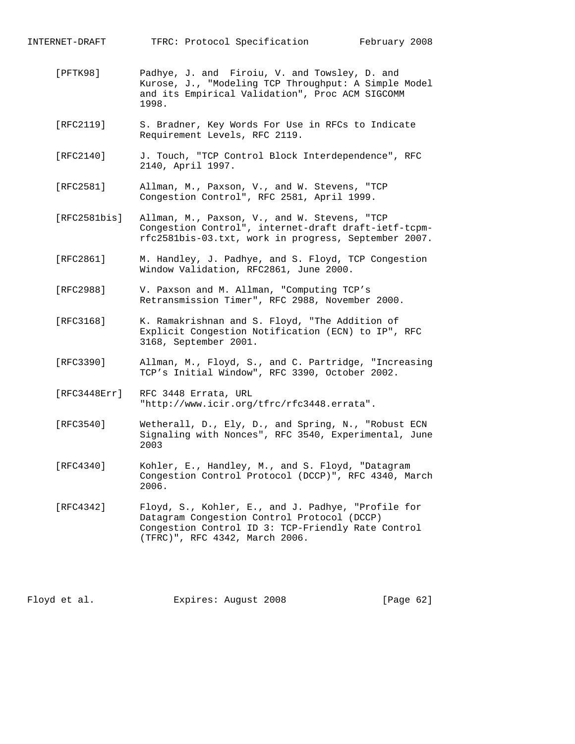INTERNET-DRAFT TFRC: Protocol Specification February 2008

- [PFTK98] Padhye, J. and Firoiu, V. and Towsley, D. and Kurose, J., "Modeling TCP Throughput: A Simple Model and its Empirical Validation", Proc ACM SIGCOMM 1998.
- [RFC2119] S. Bradner, Key Words For Use in RFCs to Indicate Requirement Levels, RFC 2119.
- [RFC2140] J. Touch, "TCP Control Block Interdependence", RFC 2140, April 1997.
- [RFC2581] Allman, M., Paxson, V., and W. Stevens, "TCP Congestion Control", RFC 2581, April 1999.
- [RFC2581bis] Allman, M., Paxson, V., and W. Stevens, "TCP Congestion Control", internet-draft draft-ietf-tcpm rfc2581bis-03.txt, work in progress, September 2007.
- [RFC2861] M. Handley, J. Padhye, and S. Floyd, TCP Congestion Window Validation, RFC2861, June 2000.
- [RFC2988] V. Paxson and M. Allman, "Computing TCP's Retransmission Timer", RFC 2988, November 2000.
- [RFC3168] K. Ramakrishnan and S. Floyd, "The Addition of Explicit Congestion Notification (ECN) to IP", RFC 3168, September 2001.
- [RFC3390] Allman, M., Floyd, S., and C. Partridge, "Increasing TCP's Initial Window", RFC 3390, October 2002.
- [RFC3448Err] RFC 3448 Errata, URL "http://www.icir.org/tfrc/rfc3448.errata".
- [RFC3540] Wetherall, D., Ely, D., and Spring, N., "Robust ECN Signaling with Nonces", RFC 3540, Experimental, June 2003
- [RFC4340] Kohler, E., Handley, M., and S. Floyd, "Datagram Congestion Control Protocol (DCCP)", RFC 4340, March 2006.
- [RFC4342] Floyd, S., Kohler, E., and J. Padhye, "Profile for Datagram Congestion Control Protocol (DCCP) Congestion Control ID 3: TCP-Friendly Rate Control (TFRC)", RFC 4342, March 2006.

Floyd et al. Expires: August 2008 [Page 62]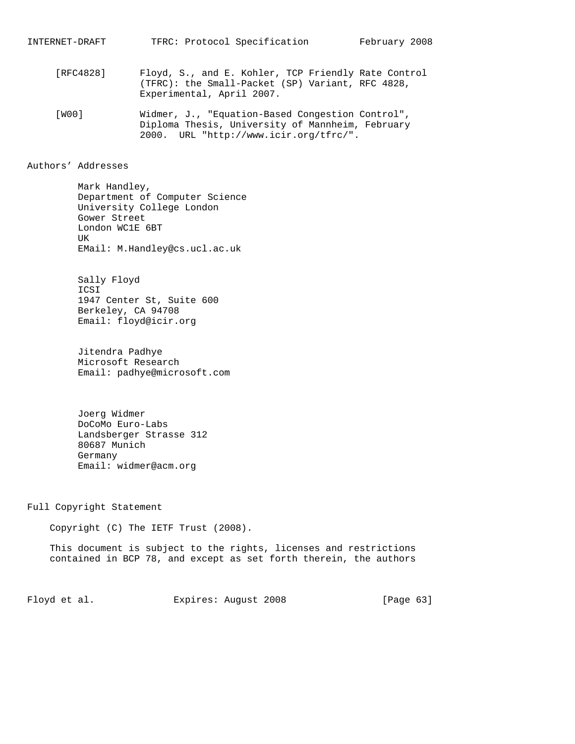- [RFC4828] Floyd, S., and E. Kohler, TCP Friendly Rate Control (TFRC): the Small-Packet (SP) Variant, RFC 4828, Experimental, April 2007.
- [W00] Widmer, J., "Equation-Based Congestion Control", Diploma Thesis, University of Mannheim, February 2000. URL "http://www.icir.org/tfrc/".

### Authors' Addresses

 Mark Handley, Department of Computer Science University College London Gower Street London WC1E 6BT UK EMail: M.Handley@cs.ucl.ac.uk

 Sally Floyd ICSI 1947 Center St, Suite 600 Berkeley, CA 94708 Email: floyd@icir.org

 Jitendra Padhye Microsoft Research Email: padhye@microsoft.com

 Joerg Widmer DoCoMo Euro-Labs Landsberger Strasse 312 80687 Munich Germany Email: widmer@acm.org

Full Copyright Statement

Copyright (C) The IETF Trust (2008).

 This document is subject to the rights, licenses and restrictions contained in BCP 78, and except as set forth therein, the authors

Floyd et al. Expires: August 2008 [Page 63]